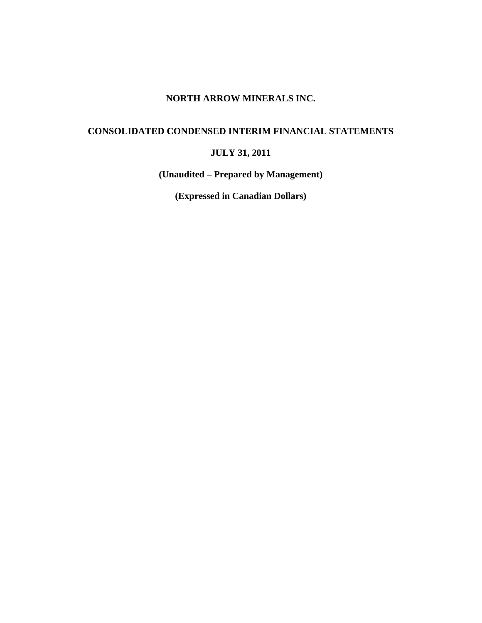## **NORTH ARROW MINERALS INC.**

# **CONSOLIDATED CONDENSED INTERIM FINANCIAL STATEMENTS**

# **JULY 31, 2011**

**(Unaudited – Prepared by Management)** 

**(Expressed in Canadian Dollars)**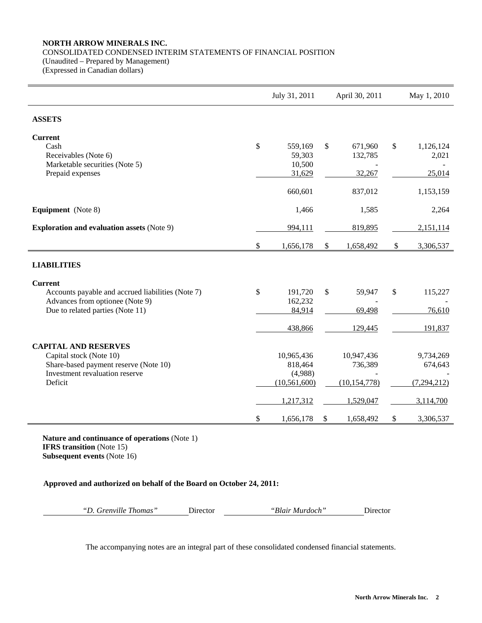## **NORTH ARROW MINERALS INC.**  CONSOLIDATED CONDENSED INTERIM STATEMENTS OF FINANCIAL POSITION (Unaudited – Prepared by Management)

(Expressed in Canadian dollars)

|                                                                                                                                              |      | July 31, 2011                                                   | April 30, 2011                                       | May 1, 2010                                        |
|----------------------------------------------------------------------------------------------------------------------------------------------|------|-----------------------------------------------------------------|------------------------------------------------------|----------------------------------------------------|
| <b>ASSETS</b>                                                                                                                                |      |                                                                 |                                                      |                                                    |
| <b>Current</b><br>Cash<br>Receivables (Note 6)<br>Marketable securities (Note 5)<br>Prepaid expenses                                         | $\$$ | 559,169<br>59,303<br>10,500<br>31,629                           | \$<br>671,960<br>132,785<br>32,267                   | \$<br>1,126,124<br>2,021<br>25,014                 |
|                                                                                                                                              |      | 660,601                                                         | 837,012                                              | 1,153,159                                          |
| <b>Equipment</b> (Note 8)                                                                                                                    |      | 1,466                                                           | 1,585                                                | 2,264                                              |
| <b>Exploration and evaluation assets (Note 9)</b>                                                                                            |      | 994,111                                                         | 819,895                                              | 2,151,114                                          |
|                                                                                                                                              | \$   | 1,656,178                                                       | \$<br>1,658,492                                      | \$<br>3,306,537                                    |
| <b>LIABILITIES</b>                                                                                                                           |      |                                                                 |                                                      |                                                    |
| <b>Current</b><br>Accounts payable and accrued liabilities (Note 7)<br>Advances from optionee (Note 9)<br>Due to related parties (Note 11)   | \$   | 191,720<br>162,232<br>84,914                                    | \$<br>59,947<br>69,498                               | \$<br>115,227<br>76,610                            |
|                                                                                                                                              |      | 438,866                                                         | 129,445                                              | 191,837                                            |
| <b>CAPITAL AND RESERVES</b><br>Capital stock (Note 10)<br>Share-based payment reserve (Note 10)<br>Investment revaluation reserve<br>Deficit |      | 10,965,436<br>818,464<br>(4,988)<br>(10, 561, 600)<br>1,217,312 | 10,947,436<br>736,389<br>(10, 154, 778)<br>1,529,047 | 9,734,269<br>674,643<br>(7, 294, 212)<br>3,114,700 |
|                                                                                                                                              | \$   | 1,656,178                                                       | \$<br>1,658,492                                      | \$<br>3,306,537                                    |

**Nature and continuance of operations** (Note 1) **IFRS transition** (Note 15) **Subsequent events** (Note 16)

**Approved and authorized on behalf of the Board on October 24, 2011:** 

*"D. Grenville Thomas"* Director *"Blair Murdoch"* Director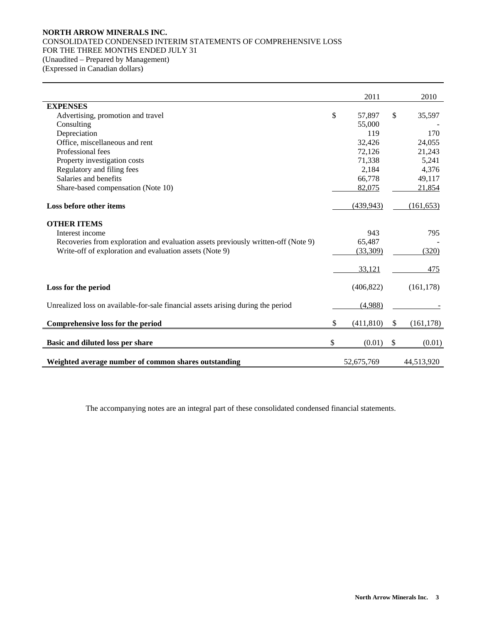## **NORTH ARROW MINERALS INC.**  CONSOLIDATED CONDENSED INTERIM STATEMENTS OF COMPREHENSIVE LOSS FOR THE THREE MONTHS ENDED JULY 31 (Unaudited – Prepared by Management) (Expressed in Canadian dollars)

|                                                                                   | 2011             |               | 2010       |
|-----------------------------------------------------------------------------------|------------------|---------------|------------|
| <b>EXPENSES</b>                                                                   |                  |               |            |
| Advertising, promotion and travel                                                 | \$<br>57,897     | \$            | 35,597     |
| Consulting                                                                        | 55,000           |               |            |
| Depreciation                                                                      | 119              |               | 170        |
| Office, miscellaneous and rent                                                    | 32,426           |               | 24,055     |
| Professional fees                                                                 | 72,126           |               | 21,243     |
| Property investigation costs                                                      | 71,338           |               | 5,241      |
| Regulatory and filing fees                                                        | 2,184            |               | 4,376      |
| Salaries and benefits                                                             | 66,778           |               | 49,117     |
| Share-based compensation (Note 10)                                                | 82,075           |               | 21,854     |
| Loss before other items                                                           | (439, 943)       |               | (161, 653) |
| <b>OTHER ITEMS</b>                                                                |                  |               |            |
| Interest income                                                                   | 943              |               | 795        |
| Recoveries from exploration and evaluation assets previously written-off (Note 9) | 65,487           |               |            |
| Write-off of exploration and evaluation assets (Note 9)                           | (33,309)         |               | (320)      |
|                                                                                   | 33,121           |               | 475        |
| Loss for the period                                                               | (406, 822)       |               | (161, 178) |
| Unrealized loss on available-for-sale financial assets arising during the period  | (4,988)          |               |            |
| Comprehensive loss for the period                                                 | \$<br>(411, 810) | \$            | (161, 178) |
| Basic and diluted loss per share                                                  | \$<br>(0.01)     | $\mathcal{S}$ | (0.01)     |
|                                                                                   |                  |               |            |
| Weighted average number of common shares outstanding                              | 52,675,769       |               | 44,513,920 |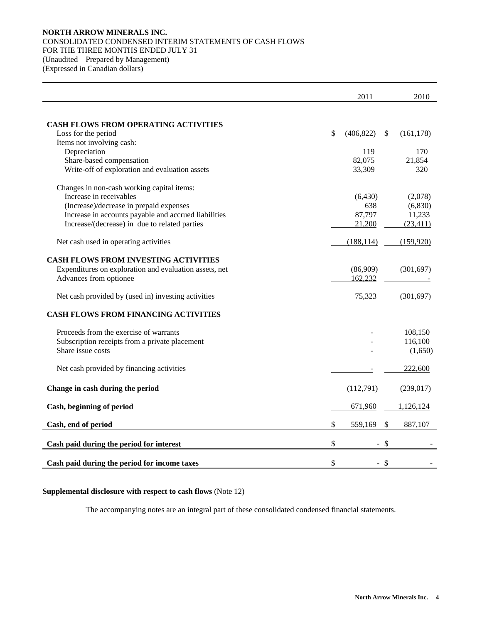## **NORTH ARROW MINERALS INC.**  CONSOLIDATED CONDENSED INTERIM STATEMENTS OF CASH FLOWS FOR THE THREE MONTHS ENDED JULY 31 (Unaudited – Prepared by Management) (Expressed in Canadian dollars)

|                                                        | 2011             | 2010             |
|--------------------------------------------------------|------------------|------------------|
|                                                        |                  |                  |
| <b>CASH FLOWS FROM OPERATING ACTIVITIES</b>            |                  |                  |
| Loss for the period                                    | \$<br>(406, 822) | \$<br>(161, 178) |
| Items not involving cash:                              |                  |                  |
| Depreciation                                           | 119              | 170              |
| Share-based compensation                               | 82,075           | 21,854           |
| Write-off of exploration and evaluation assets         | 33,309           | 320              |
| Changes in non-cash working capital items:             |                  |                  |
| Increase in receivables                                | (6,430)          | (2,078)          |
| (Increase)/decrease in prepaid expenses                | 638              | (6,830)          |
| Increase in accounts payable and accrued liabilities   | 87,797           | 11,233           |
| Increase/(decrease) in due to related parties          | 21,200           | (23, 411)        |
| Net cash used in operating activities                  | (188, 114)       | (159,920)        |
| <b>CASH FLOWS FROM INVESTING ACTIVITIES</b>            |                  |                  |
| Expenditures on exploration and evaluation assets, net | (86,909)         | (301, 697)       |
| Advances from optionee                                 | 162,232          |                  |
|                                                        |                  |                  |
| Net cash provided by (used in) investing activities    | 75,323           | (301, 697)       |
| <b>CASH FLOWS FROM FINANCING ACTIVITIES</b>            |                  |                  |
| Proceeds from the exercise of warrants                 |                  | 108,150          |
| Subscription receipts from a private placement         |                  | 116,100          |
| Share issue costs                                      |                  | (1,650)          |
| Net cash provided by financing activities              |                  | 222,600          |
| Change in cash during the period                       | (112,791)        | (239, 017)       |
| Cash, beginning of period                              | 671,960          | 1,126,124        |
| Cash, end of period                                    | \$<br>559,169    | \$<br>887,107    |
| Cash paid during the period for interest               | \$<br>$-$ \$     |                  |
|                                                        |                  |                  |
| Cash paid during the period for income taxes           | \$<br>$-$ \$     |                  |

## **Supplemental disclosure with respect to cash flows** (Note 12)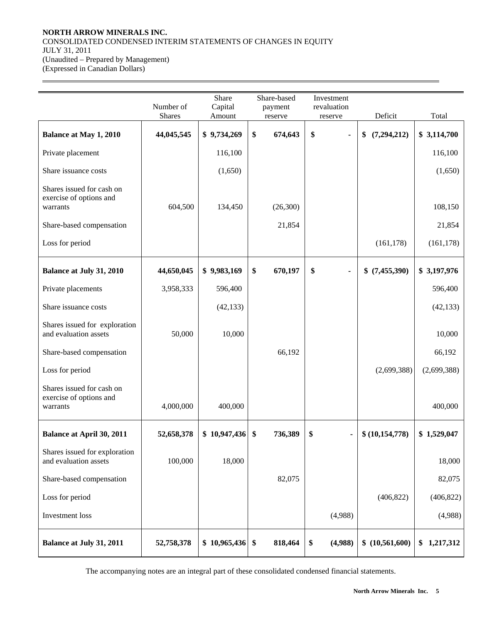## **NORTH ARROW MINERALS INC.**  CONSOLIDATED CONDENSED INTERIM STATEMENTS OF CHANGES IN EQUITY JULY 31, 2011 (Unaudited – Prepared by Management) (Expressed in Canadian Dollars)

 $\overline{a}$ 

|                                                                  | Number of<br><b>Shares</b> | Share<br>Capital | Share-based<br>Investment<br>revaluation<br>payment<br>Amount<br>reserve |                                    | Deficit             | Total       |
|------------------------------------------------------------------|----------------------------|------------------|--------------------------------------------------------------------------|------------------------------------|---------------------|-------------|
|                                                                  |                            |                  |                                                                          | reserve                            |                     |             |
| <b>Balance at May 1, 2010</b>                                    | 44,045,545                 | \$9,734,269      | \$<br>674,643                                                            | \$<br>ä,                           | \$<br>(7, 294, 212) | \$3,114,700 |
| Private placement                                                |                            | 116,100          |                                                                          |                                    |                     | 116,100     |
| Share issuance costs                                             |                            | (1,650)          |                                                                          |                                    |                     | (1,650)     |
| Shares issued for cash on<br>exercise of options and<br>warrants | 604,500                    | 134,450          | (26,300)                                                                 |                                    |                     | 108,150     |
| Share-based compensation                                         |                            |                  | 21,854                                                                   |                                    |                     | 21,854      |
| Loss for period                                                  |                            |                  |                                                                          |                                    | (161, 178)          | (161, 178)  |
| <b>Balance at July 31, 2010</b>                                  | 44,650,045                 | \$9,983,169      | \$<br>670,197                                                            | \$<br>$\qquad \qquad \blacksquare$ | (7,455,390)<br>\$   | \$3,197,976 |
| Private placements                                               | 3,958,333                  | 596,400          |                                                                          |                                    |                     | 596,400     |
| Share issuance costs                                             |                            | (42, 133)        |                                                                          |                                    |                     | (42, 133)   |
| Shares issued for exploration<br>and evaluation assets           | 50,000                     | 10,000           |                                                                          |                                    |                     | 10,000      |
| Share-based compensation                                         |                            |                  | 66,192                                                                   |                                    |                     | 66,192      |
| Loss for period                                                  |                            |                  |                                                                          |                                    | (2,699,388)         | (2,699,388) |
| Shares issued for cash on<br>exercise of options and<br>warrants | 4,000,000                  | 400,000          |                                                                          |                                    |                     | 400,000     |
| <b>Balance at April 30, 2011</b>                                 | 52,658,378                 | \$10,947,436     | \$<br>736,389                                                            | \$                                 | \$(10,154,778)      | \$1,529,047 |
| Shares issued for exploration<br>and evaluation assets           | 100,000                    | 18,000           |                                                                          |                                    |                     | 18,000      |
| Share-based compensation                                         |                            |                  | 82,075                                                                   |                                    |                     | 82,075      |
| Loss for period                                                  |                            |                  |                                                                          |                                    | (406, 822)          | (406, 822)  |
| Investment loss                                                  |                            |                  |                                                                          | (4,988)                            |                     | (4,988)     |
| <b>Balance at July 31, 2011</b>                                  | 52,758,378                 | \$10,965,436     | \$<br>818,464                                                            | \$<br>(4,988)                      | \$(10,561,600)      | \$1,217,312 |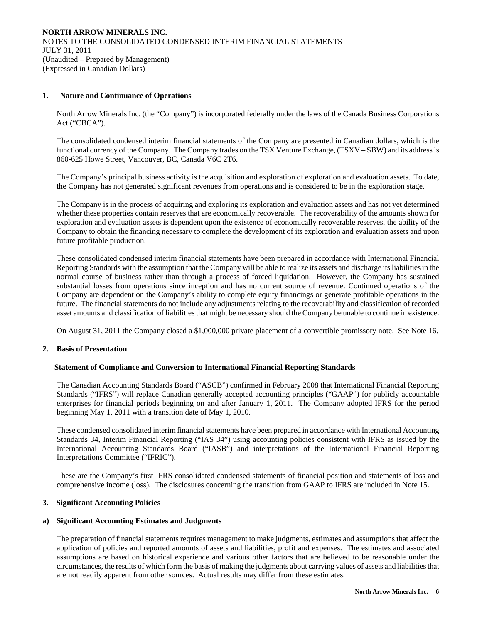## **1. Nature and Continuance of Operations**

 $\overline{a}$ 

North Arrow Minerals Inc. (the "Company") is incorporated federally under the laws of the Canada Business Corporations Act ("CBCA").

The consolidated condensed interim financial statements of the Company are presented in Canadian dollars, which is the functional currency of the Company. The Company trades on the TSX Venture Exchange, (TSXV – SBW) and its address is 860-625 Howe Street, Vancouver, BC, Canada V6C 2T6.

 The Company's principal business activity is the acquisition and exploration of exploration and evaluation assets. To date, the Company has not generated significant revenues from operations and is considered to be in the exploration stage.

 The Company is in the process of acquiring and exploring its exploration and evaluation assets and has not yet determined whether these properties contain reserves that are economically recoverable. The recoverability of the amounts shown for exploration and evaluation assets is dependent upon the existence of economically recoverable reserves, the ability of the Company to obtain the financing necessary to complete the development of its exploration and evaluation assets and upon future profitable production.

These consolidated condensed interim financial statements have been prepared in accordance with International Financial Reporting Standards with the assumption that the Company will be able to realize its assets and discharge its liabilities in the normal course of business rather than through a process of forced liquidation. However, the Company has sustained substantial losses from operations since inception and has no current source of revenue. Continued operations of the Company are dependent on the Company's ability to complete equity financings or generate profitable operations in the future. The financial statements do not include any adjustments relating to the recoverability and classification of recorded asset amounts and classification of liabilities that might be necessary should the Company be unable to continue in existence.

On August 31, 2011 the Company closed a \$1,000,000 private placement of a convertible promissory note. See Note 16.

## **2. Basis of Presentation**

## **Statement of Compliance and Conversion to International Financial Reporting Standards**

The Canadian Accounting Standards Board ("ASCB") confirmed in February 2008 that International Financial Reporting Standards ("IFRS") will replace Canadian generally accepted accounting principles ("GAAP") for publicly accountable enterprises for financial periods beginning on and after January 1, 2011. The Company adopted IFRS for the period beginning May 1, 2011 with a transition date of May 1, 2010.

These condensed consolidated interim financial statements have been prepared in accordance with International Accounting Standards 34, Interim Financial Reporting ("IAS 34") using accounting policies consistent with IFRS as issued by the International Accounting Standards Board ("IASB") and interpretations of the International Financial Reporting Interpretations Committee ("IFRIC").

These are the Company's first IFRS consolidated condensed statements of financial position and statements of loss and comprehensive income (loss). The disclosures concerning the transition from GAAP to IFRS are included in Note 15.

## **3. Significant Accounting Policies**

## **a) Significant Accounting Estimates and Judgments**

The preparation of financial statements requires management to make judgments, estimates and assumptions that affect the application of policies and reported amounts of assets and liabilities, profit and expenses. The estimates and associated assumptions are based on historical experience and various other factors that are believed to be reasonable under the circumstances, the results of which form the basis of making the judgments about carrying values of assets and liabilities that are not readily apparent from other sources. Actual results may differ from these estimates.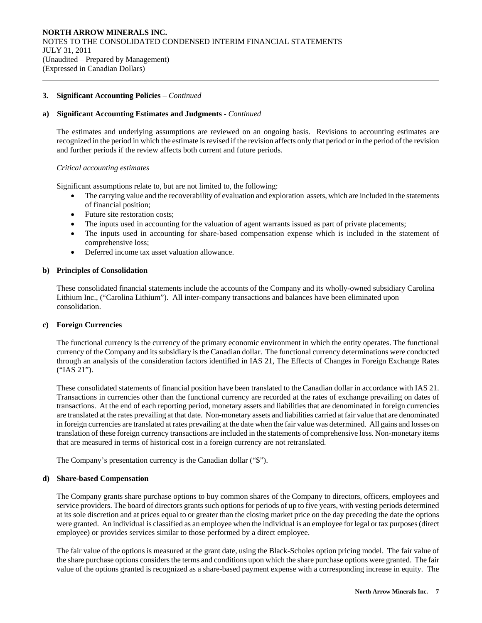## **a) Significant Accounting Estimates and Judgments -** *Continued*

The estimates and underlying assumptions are reviewed on an ongoing basis. Revisions to accounting estimates are recognized in the period in which the estimate is revised if the revision affects only that period or in the period of the revision and further periods if the review affects both current and future periods.

## *Critical accounting estimates*

 $\overline{a}$ 

Significant assumptions relate to, but are not limited to, the following:

- The carrying value and the recoverability of evaluation and exploration assets, which are included in the statements of financial position;
- Future site restoration costs;
- The inputs used in accounting for the valuation of agent warrants issued as part of private placements;
- The inputs used in accounting for share-based compensation expense which is included in the statement of comprehensive loss;
- Deferred income tax asset valuation allowance.

## **b) Principles of Consolidation**

These consolidated financial statements include the accounts of the Company and its wholly-owned subsidiary Carolina Lithium Inc., ("Carolina Lithium"). All inter-company transactions and balances have been eliminated upon consolidation.

## **c) Foreign Currencies**

The functional currency is the currency of the primary economic environment in which the entity operates. The functional currency of the Company and its subsidiary is the Canadian dollar. The functional currency determinations were conducted through an analysis of the consideration factors identified in IAS 21, The Effects of Changes in Foreign Exchange Rates ("IAS 21").

These consolidated statements of financial position have been translated to the Canadian dollar in accordance with IAS 21. Transactions in currencies other than the functional currency are recorded at the rates of exchange prevailing on dates of transactions. At the end of each reporting period, monetary assets and liabilities that are denominated in foreign currencies are translated at the rates prevailing at that date. Non-monetary assets and liabilities carried at fair value that are denominated in foreign currencies are translated at rates prevailing at the date when the fair value was determined. All gains and losses on translation of these foreign currency transactions are included in the statements of comprehensive loss. Non-monetary items that are measured in terms of historical cost in a foreign currency are not retranslated.

The Company's presentation currency is the Canadian dollar ("\$").

## **d) Share-based Compensation**

The Company grants share purchase options to buy common shares of the Company to directors, officers, employees and service providers. The board of directors grants such options for periods of up to five years, with vesting periods determined at its sole discretion and at prices equal to or greater than the closing market price on the day preceding the date the options were granted. An individual is classified as an employee when the individual is an employee for legal or tax purposes (direct employee) or provides services similar to those performed by a direct employee.

The fair value of the options is measured at the grant date, using the Black-Scholes option pricing model. The fair value of the share purchase options considers the terms and conditions upon which the share purchase options were granted. The fair value of the options granted is recognized as a share-based payment expense with a corresponding increase in equity. The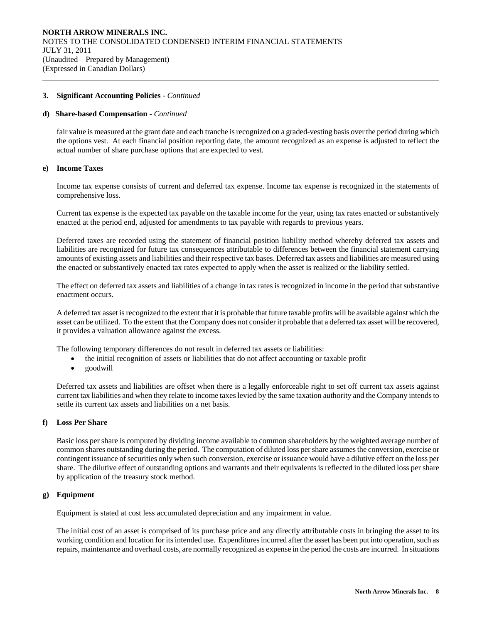## **d) Share-based Compensation** - *Continued*

fair value is measured at the grant date and each tranche is recognized on a graded-vesting basis over the period during which the options vest. At each financial position reporting date, the amount recognized as an expense is adjusted to reflect the actual number of share purchase options that are expected to vest.

## **e) Income Taxes**

 $\overline{a}$ 

Income tax expense consists of current and deferred tax expense. Income tax expense is recognized in the statements of comprehensive loss.

Current tax expense is the expected tax payable on the taxable income for the year, using tax rates enacted or substantively enacted at the period end, adjusted for amendments to tax payable with regards to previous years.

Deferred taxes are recorded using the statement of financial position liability method whereby deferred tax assets and liabilities are recognized for future tax consequences attributable to differences between the financial statement carrying amounts of existing assets and liabilities and their respective tax bases. Deferred tax assets and liabilities are measured using the enacted or substantively enacted tax rates expected to apply when the asset is realized or the liability settled.

The effect on deferred tax assets and liabilities of a change in tax rates is recognized in income in the period that substantive enactment occurs.

A deferred tax asset is recognized to the extent that it is probable that future taxable profits will be available against which the asset can be utilized. To the extent that the Company does not consider it probable that a deferred tax asset will be recovered, it provides a valuation allowance against the excess.

The following temporary differences do not result in deferred tax assets or liabilities:

- the initial recognition of assets or liabilities that do not affect accounting or taxable profit
- goodwill

Deferred tax assets and liabilities are offset when there is a legally enforceable right to set off current tax assets against current tax liabilities and when they relate to income taxes levied by the same taxation authority and the Company intends to settle its current tax assets and liabilities on a net basis.

## **f) Loss Per Share**

Basic loss per share is computed by dividing income available to common shareholders by the weighted average number of common shares outstanding during the period. The computation of diluted loss per share assumes the conversion, exercise or contingent issuance of securities only when such conversion, exercise or issuance would have a dilutive effect on the loss per share. The dilutive effect of outstanding options and warrants and their equivalents is reflected in the diluted loss per share by application of the treasury stock method.

## **g) Equipment**

Equipment is stated at cost less accumulated depreciation and any impairment in value.

The initial cost of an asset is comprised of its purchase price and any directly attributable costs in bringing the asset to its working condition and location for its intended use. Expenditures incurred after the asset has been put into operation, such as repairs, maintenance and overhaul costs, are normally recognized as expense in the period the costs are incurred. In situations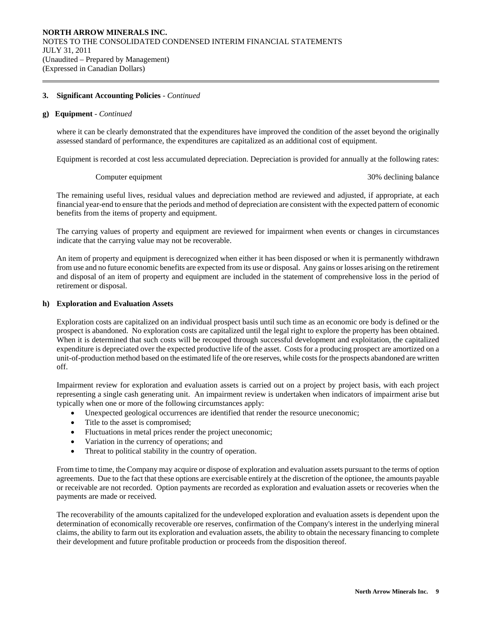#### **g) Equipment** - *Continued*

 $\overline{a}$ 

where it can be clearly demonstrated that the expenditures have improved the condition of the asset beyond the originally assessed standard of performance, the expenditures are capitalized as an additional cost of equipment.

Equipment is recorded at cost less accumulated depreciation. Depreciation is provided for annually at the following rates:

Computer equipment 30% declining balance

The remaining useful lives, residual values and depreciation method are reviewed and adjusted, if appropriate, at each financial year-end to ensure that the periods and method of depreciation are consistent with the expected pattern of economic benefits from the items of property and equipment.

The carrying values of property and equipment are reviewed for impairment when events or changes in circumstances indicate that the carrying value may not be recoverable.

An item of property and equipment is derecognized when either it has been disposed or when it is permanently withdrawn from use and no future economic benefits are expected from its use or disposal. Any gains or losses arising on the retirement and disposal of an item of property and equipment are included in the statement of comprehensive loss in the period of retirement or disposal.

## **h) Exploration and Evaluation Assets**

Exploration costs are capitalized on an individual prospect basis until such time as an economic ore body is defined or the prospect is abandoned. No exploration costs are capitalized until the legal right to explore the property has been obtained. When it is determined that such costs will be recouped through successful development and exploitation, the capitalized expenditure is depreciated over the expected productive life of the asset. Costs for a producing prospect are amortized on a unit-of-production method based on the estimated life of the ore reserves, while costs for the prospects abandoned are written off.

Impairment review for exploration and evaluation assets is carried out on a project by project basis, with each project representing a single cash generating unit. An impairment review is undertaken when indicators of impairment arise but typically when one or more of the following circumstances apply:

- Unexpected geological occurrences are identified that render the resource uneconomic;
- Title to the asset is compromised;
- Fluctuations in metal prices render the project uneconomic;
- Variation in the currency of operations; and
- Threat to political stability in the country of operation.

From time to time, the Company may acquire or dispose of exploration and evaluation assets pursuant to the terms of option agreements. Due to the fact that these options are exercisable entirely at the discretion of the optionee, the amounts payable or receivable are not recorded. Option payments are recorded as exploration and evaluation assets or recoveries when the payments are made or received.

The recoverability of the amounts capitalized for the undeveloped exploration and evaluation assets is dependent upon the determination of economically recoverable ore reserves, confirmation of the Company's interest in the underlying mineral claims, the ability to farm out its exploration and evaluation assets, the ability to obtain the necessary financing to complete their development and future profitable production or proceeds from the disposition thereof.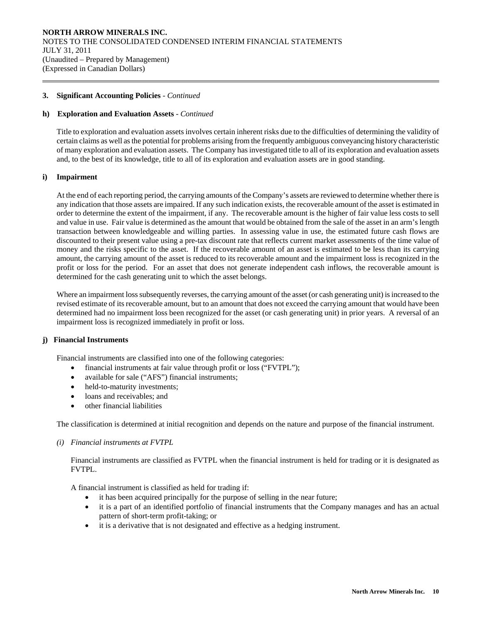## **h) Exploration and Evaluation Assets** - *Continued*

Title to exploration and evaluation assets involves certain inherent risks due to the difficulties of determining the validity of certain claims as well as the potential for problems arising from the frequently ambiguous conveyancing history characteristic of many exploration and evaluation assets. The Company has investigated title to all of its exploration and evaluation assets and, to the best of its knowledge, title to all of its exploration and evaluation assets are in good standing.

## **i) Impairment**

 $\overline{a}$ 

At the end of each reporting period, the carrying amounts of the Company's assets are reviewed to determine whether there is any indication that those assets are impaired. If any such indication exists, the recoverable amount of the asset is estimated in order to determine the extent of the impairment, if any. The recoverable amount is the higher of fair value less costs to sell and value in use. Fair value is determined as the amount that would be obtained from the sale of the asset in an arm's length transaction between knowledgeable and willing parties. In assessing value in use, the estimated future cash flows are discounted to their present value using a pre-tax discount rate that reflects current market assessments of the time value of money and the risks specific to the asset. If the recoverable amount of an asset is estimated to be less than its carrying amount, the carrying amount of the asset is reduced to its recoverable amount and the impairment loss is recognized in the profit or loss for the period. For an asset that does not generate independent cash inflows, the recoverable amount is determined for the cash generating unit to which the asset belongs.

Where an impairment loss subsequently reverses, the carrying amount of the asset (or cash generating unit) is increased to the revised estimate of its recoverable amount, but to an amount that does not exceed the carrying amount that would have been determined had no impairment loss been recognized for the asset (or cash generating unit) in prior years. A reversal of an impairment loss is recognized immediately in profit or loss.

## **j) Financial Instruments**

Financial instruments are classified into one of the following categories:

- financial instruments at fair value through profit or loss ("FVTPL");
- available for sale ("AFS") financial instruments;
- held-to-maturity investments;
- loans and receivables: and
- other financial liabilities

The classification is determined at initial recognition and depends on the nature and purpose of the financial instrument.

*(i) Financial instruments at FVTPL* 

Financial instruments are classified as FVTPL when the financial instrument is held for trading or it is designated as FVTPL.

A financial instrument is classified as held for trading if:

- it has been acquired principally for the purpose of selling in the near future;
- it is a part of an identified portfolio of financial instruments that the Company manages and has an actual pattern of short-term profit-taking; or
- it is a derivative that is not designated and effective as a hedging instrument.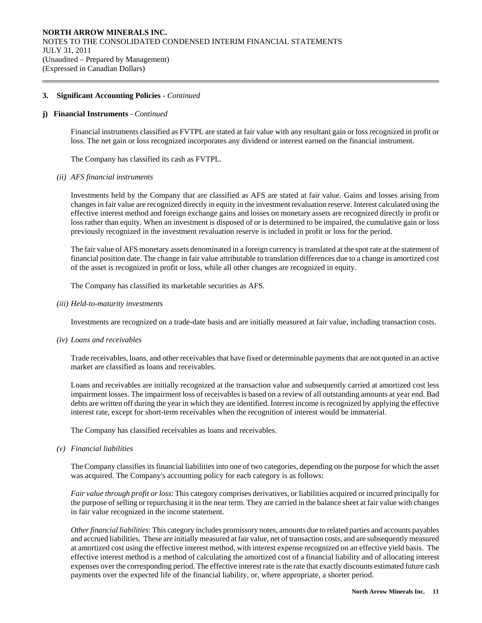## **j) Financial Instruments** - *Continued*

 $\overline{a}$ 

Financial instruments classified as FVTPL are stated at fair value with any resultant gain or loss recognized in profit or loss. The net gain or loss recognized incorporates any dividend or interest earned on the financial instrument.

The Company has classified its cash as FVTPL.

#### *(ii) AFS financial instruments*

Investments held by the Company that are classified as AFS are stated at fair value. Gains and losses arising from changes in fair value are recognized directly in equity in the investment revaluation reserve. Interest calculated using the effective interest method and foreign exchange gains and losses on monetary assets are recognized directly in profit or loss rather than equity. When an investment is disposed of or is determined to be impaired, the cumulative gain or loss previously recognized in the investment revaluation reserve is included in profit or loss for the period.

The fair value of AFS monetary assets denominated in a foreign currency is translated at the spot rate at the statement of financial position date. The change in fair value attributable to translation differences due to a change in amortized cost of the asset is recognized in profit or loss, while all other changes are recognized in equity.

The Company has classified its marketable securities as AFS.

*(iii) Held-to-maturity investments* 

Investments are recognized on a trade-date basis and are initially measured at fair value, including transaction costs.

*(iv) Loans and receivables* 

Trade receivables, loans, and other receivables that have fixed or determinable payments that are not quoted in an active market are classified as loans and receivables.

Loans and receivables are initially recognized at the transaction value and subsequently carried at amortized cost less impairment losses. The impairment loss of receivables is based on a review of all outstanding amounts at year end. Bad debts are written off during the year in which they are identified. Interest income is recognized by applying the effective interest rate, except for short-term receivables when the recognition of interest would be immaterial.

The Company has classified receivables as loans and receivables.

*(v) Financial liabilities* 

The Company classifies its financial liabilities into one of two categories, depending on the purpose for which the asset was acquired. The Company's accounting policy for each category is as follows:

*Fair value through profit or loss*: This category comprises derivatives, or liabilities acquired or incurred principally for the purpose of selling or repurchasing it in the near term. They are carried in the balance sheet at fair value with changes in fair value recognized in the income statement.

*Other financial liabilities*: This category includes promissory notes, amounts due to related parties and accounts payables and accrued liabilities. These are initially measured at fair value, net of transaction costs, and are subsequently measured at amortized cost using the effective interest method, with interest expense recognized on an effective yield basis. The effective interest method is a method of calculating the amortized cost of a financial liability and of allocating interest expenses over the corresponding period. The effective interest rate is the rate that exactly discounts estimated future cash payments over the expected life of the financial liability, or, where appropriate, a shorter period.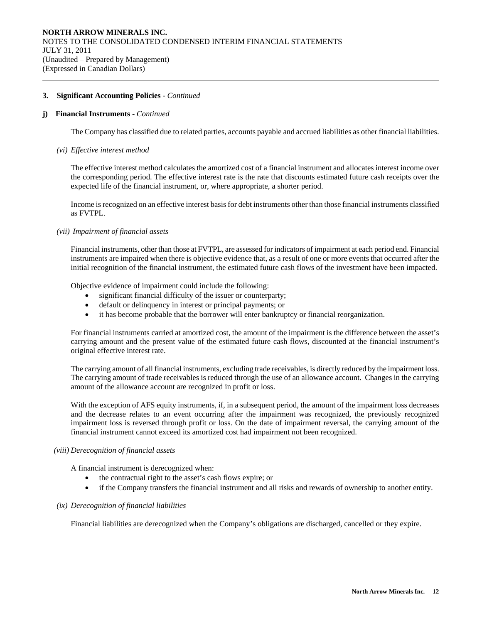## **j) Financial Instruments** - *Continued*

 $\overline{a}$ 

The Company has classified due to related parties, accounts payable and accrued liabilities as other financial liabilities.

#### *(vi) Effective interest method*

The effective interest method calculates the amortized cost of a financial instrument and allocates interest income over the corresponding period. The effective interest rate is the rate that discounts estimated future cash receipts over the expected life of the financial instrument, or, where appropriate, a shorter period.

Income is recognized on an effective interest basis for debt instruments other than those financial instruments classified as FVTPL.

#### *(vii) Impairment of financial assets*

Financial instruments, other than those at FVTPL, are assessed for indicators of impairment at each period end. Financial instruments are impaired when there is objective evidence that, as a result of one or more events that occurred after the initial recognition of the financial instrument, the estimated future cash flows of the investment have been impacted.

Objective evidence of impairment could include the following:

- significant financial difficulty of the issuer or counterparty;
- default or delinquency in interest or principal payments; or
- it has become probable that the borrower will enter bankruptcy or financial reorganization.

For financial instruments carried at amortized cost, the amount of the impairment is the difference between the asset's carrying amount and the present value of the estimated future cash flows, discounted at the financial instrument's original effective interest rate.

The carrying amount of all financial instruments, excluding trade receivables, is directly reduced by the impairment loss. The carrying amount of trade receivables is reduced through the use of an allowance account. Changes in the carrying amount of the allowance account are recognized in profit or loss.

With the exception of AFS equity instruments, if, in a subsequent period, the amount of the impairment loss decreases and the decrease relates to an event occurring after the impairment was recognized, the previously recognized impairment loss is reversed through profit or loss. On the date of impairment reversal, the carrying amount of the financial instrument cannot exceed its amortized cost had impairment not been recognized.

## *(viii) Derecognition of financial assets*

A financial instrument is derecognized when:

- the contractual right to the asset's cash flows expire; or
- if the Company transfers the financial instrument and all risks and rewards of ownership to another entity.

## *(ix) Derecognition of financial liabilities*

Financial liabilities are derecognized when the Company's obligations are discharged, cancelled or they expire.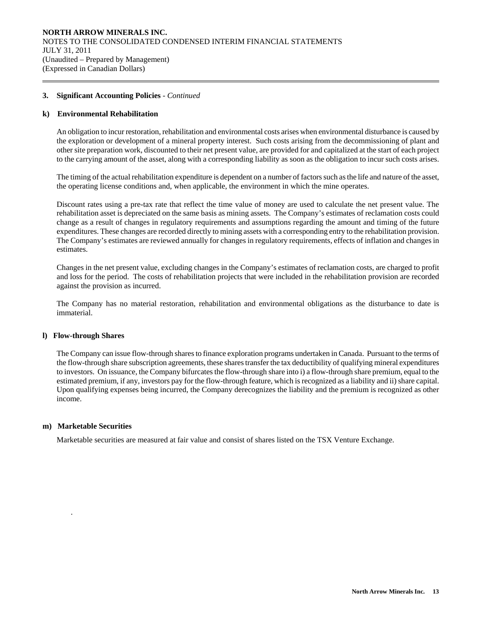## **k) Environmental Rehabilitation**

 $\overline{a}$ 

An obligation to incur restoration, rehabilitation and environmental costs arises when environmental disturbance is caused by the exploration or development of a mineral property interest. Such costs arising from the decommissioning of plant and other site preparation work, discounted to their net present value, are provided for and capitalized at the start of each project to the carrying amount of the asset, along with a corresponding liability as soon as the obligation to incur such costs arises.

The timing of the actual rehabilitation expenditure is dependent on a number of factors such as the life and nature of the asset, the operating license conditions and, when applicable, the environment in which the mine operates.

Discount rates using a pre-tax rate that reflect the time value of money are used to calculate the net present value. The rehabilitation asset is depreciated on the same basis as mining assets. The Company's estimates of reclamation costs could change as a result of changes in regulatory requirements and assumptions regarding the amount and timing of the future expenditures. These changes are recorded directly to mining assets with a corresponding entry to the rehabilitation provision. The Company's estimates are reviewed annually for changes in regulatory requirements, effects of inflation and changes in estimates.

Changes in the net present value, excluding changes in the Company's estimates of reclamation costs, are charged to profit and loss for the period. The costs of rehabilitation projects that were included in the rehabilitation provision are recorded against the provision as incurred.

The Company has no material restoration, rehabilitation and environmental obligations as the disturbance to date is immaterial.

## **l) Flow-through Shares**

The Company can issue flow-through shares to finance exploration programs undertaken in Canada. Pursuant to the terms of the flow-through share subscription agreements, these shares transfer the tax deductibility of qualifying mineral expenditures to investors. On issuance, the Company bifurcates the flow-through share into i) a flow-through share premium, equal to the estimated premium, if any, investors pay for the flow-through feature, which is recognized as a liability and ii) share capital. Upon qualifying expenses being incurred, the Company derecognizes the liability and the premium is recognized as other income.

## **m) Marketable Securities**

.

Marketable securities are measured at fair value and consist of shares listed on the TSX Venture Exchange.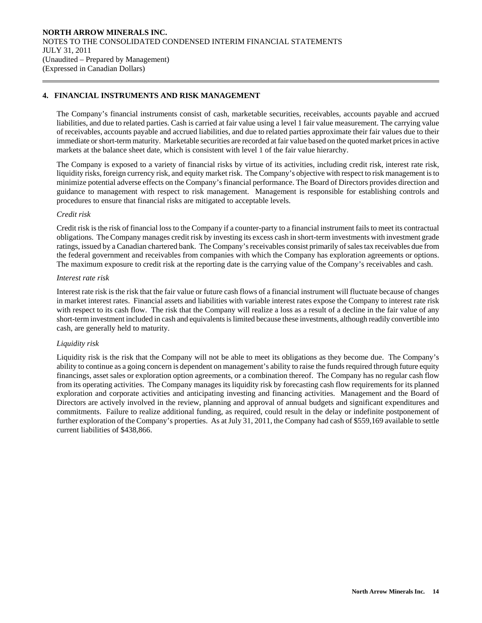## **4. FINANCIAL INSTRUMENTS AND RISK MANAGEMENT**

The Company's financial instruments consist of cash, marketable securities, receivables, accounts payable and accrued liabilities, and due to related parties. Cash is carried at fair value using a level 1 fair value measurement. The carrying value of receivables, accounts payable and accrued liabilities, and due to related parties approximate their fair values due to their immediate or short-term maturity. Marketable securities are recorded at fair value based on the quoted market prices in active markets at the balance sheet date, which is consistent with level 1 of the fair value hierarchy.

The Company is exposed to a variety of financial risks by virtue of its activities, including credit risk, interest rate risk, liquidity risks, foreign currency risk, and equity market risk. The Company's objective with respect to risk management is to minimize potential adverse effects on the Company's financial performance. The Board of Directors provides direction and guidance to management with respect to risk management. Management is responsible for establishing controls and procedures to ensure that financial risks are mitigated to acceptable levels.

## *Credit risk*

 $\overline{a}$ 

Credit risk is the risk of financial loss to the Company if a counter-party to a financial instrument fails to meet its contractual obligations. The Company manages credit risk by investing its excess cash in short-term investments with investment grade ratings, issued by a Canadian chartered bank. The Company's receivables consist primarily of sales tax receivables due from the federal government and receivables from companies with which the Company has exploration agreements or options. The maximum exposure to credit risk at the reporting date is the carrying value of the Company's receivables and cash.

## *Interest rate risk*

Interest rate risk is the risk that the fair value or future cash flows of a financial instrument will fluctuate because of changes in market interest rates. Financial assets and liabilities with variable interest rates expose the Company to interest rate risk with respect to its cash flow. The risk that the Company will realize a loss as a result of a decline in the fair value of any short-term investment included in cash and equivalents is limited because these investments, although readily convertible into cash, are generally held to maturity.

## *Liquidity risk*

Liquidity risk is the risk that the Company will not be able to meet its obligations as they become due. The Company's ability to continue as a going concern is dependent on management's ability to raise the funds required through future equity financings, asset sales or exploration option agreements, or a combination thereof. The Company has no regular cash flow from its operating activities. The Company manages its liquidity risk by forecasting cash flow requirements for its planned exploration and corporate activities and anticipating investing and financing activities. Management and the Board of Directors are actively involved in the review, planning and approval of annual budgets and significant expenditures and commitments. Failure to realize additional funding, as required, could result in the delay or indefinite postponement of further exploration of the Company's properties. As at July 31, 2011, the Company had cash of \$559,169 available to settle current liabilities of \$438,866.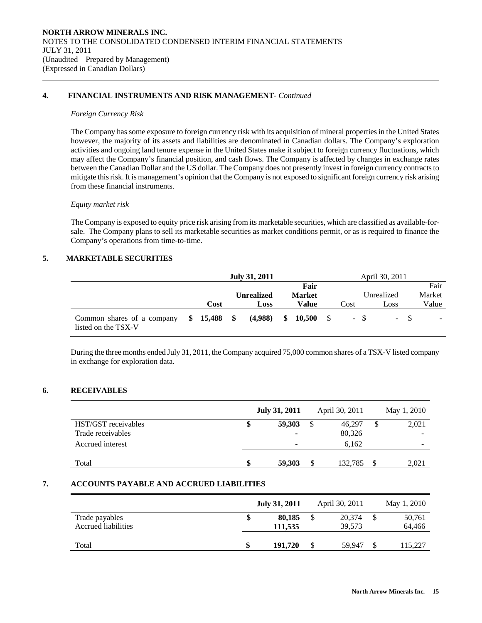## **4. FINANCIAL INSTRUMENTS AND RISK MANAGEMENT**- *Continued*

## *Foreign Currency Risk*

 $\overline{a}$ 

 The Company has some exposure to foreign currency risk with its acquisition of mineral properties in the United States however, the majority of its assets and liabilities are denominated in Canadian dollars. The Company's exploration activities and ongoing land tenure expense in the United States make it subject to foreign currency fluctuations, which may affect the Company's financial position, and cash flows. The Company is affected by changes in exchange rates between the Canadian Dollar and the US dollar. The Company does not presently invest in foreign currency contracts to mitigate this risk. It is management's opinion that the Company is not exposed to significant foreign currency risk arising from these financial instruments.

## *Equity market risk*

The Company is exposed to equity price risk arising from its marketable securities, which are classified as available-forsale. The Company plans to sell its marketable securities as market conditions permit, or as is required to finance the Company's operations from time-to-time.

## **5. MARKETABLE SECURITIES**

|                                                                |      | July 31, 2011<br>April 30, 2011 |                   |  |               |     |        |      |            |     |        |
|----------------------------------------------------------------|------|---------------------------------|-------------------|--|---------------|-----|--------|------|------------|-----|--------|
|                                                                |      |                                 |                   |  | Fair          |     |        |      |            |     | Fair   |
|                                                                |      |                                 | <b>Unrealized</b> |  | <b>Market</b> |     |        |      | Unrealized |     | Market |
|                                                                | Cost |                                 | Loss              |  | Value         |     | Cost   |      | Loss       |     | Value  |
| Common shares of a company $$15,488$ \$<br>listed on the TSX-V |      |                                 | (4,988)           |  | \$10,500      | - S | $\sim$ | - SS |            | - 8 |        |

During the three months ended July 31, 2011, the Company acquired 75,000 common shares of a TSX-V listed company in exchange for exploration data.

## **6. RECEIVABLES**

|                     | <b>July 31, 2011</b> |    | April 30, 2011 |     | May 1, 2010 |
|---------------------|----------------------|----|----------------|-----|-------------|
| HST/GST receivables | 59,303               | \$ | 46,297         | \$  | 2,021       |
| Trade receivables   | -                    |    | 80,326         |     |             |
| Accrued interest    | -                    |    | 6,162          |     | -           |
| Total               | 59,303               | S  | 132,785        | \$. | 2,021       |
|                     |                      |    |                |     |             |

## **7. ACCOUNTS PAYABLE AND ACCRUED LIABILITIES**

|                                       | <b>July 31, 2011</b> | April 30, 2011   | May 1, 2010      |
|---------------------------------------|----------------------|------------------|------------------|
| Trade payables<br>Accrued liabilities | 80,185<br>111,535    | 20.374<br>39.573 | 50,761<br>64,466 |
| Total                                 | 191.720              | \$<br>59.947     | 115,227          |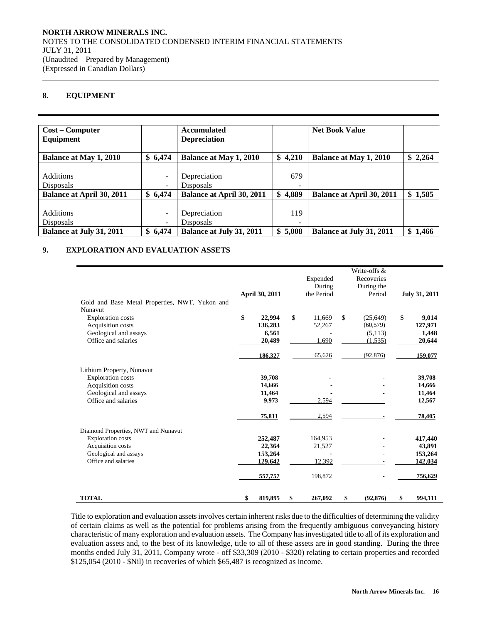## **8. EQUIPMENT**

 $\overline{a}$ 

| <b>Cost – Computer</b><br>Equipment |                          | <b>Accumulated</b><br><b>Depreciation</b> |                          | <b>Net Book Value</b>            |         |
|-------------------------------------|--------------------------|-------------------------------------------|--------------------------|----------------------------------|---------|
|                                     |                          |                                           |                          |                                  |         |
| <b>Balance at May 1, 2010</b>       | \$6,474                  | <b>Balance at May 1, 2010</b>             | \$4,210                  | <b>Balance at May 1, 2010</b>    | \$2,264 |
|                                     |                          |                                           |                          |                                  |         |
| <b>Additions</b>                    | $\overline{\phantom{0}}$ | Depreciation                              | 679                      |                                  |         |
| <b>Disposals</b>                    | $\overline{\phantom{0}}$ | <b>Disposals</b>                          | -                        |                                  |         |
| <b>Balance at April 30, 2011</b>    | \$6,474                  | <b>Balance at April 30, 2011</b>          | \$4,889                  | <b>Balance at April 30, 2011</b> | \$1,585 |
|                                     |                          |                                           |                          |                                  |         |
| <b>Additions</b>                    |                          | Depreciation                              | 119                      |                                  |         |
| <b>Disposals</b>                    | $\overline{\phantom{a}}$ | <b>Disposals</b>                          | $\overline{\phantom{0}}$ |                                  |         |
| <b>Balance at July 31, 2011</b>     | \$6,474                  | <b>Balance at July 31, 2011</b>           | \$5,008                  | Balance at July 31, 2011         | \$1,466 |

## **9. EXPLORATION AND EVALUATION ASSETS**

| Gold and Base Metal Properties, NWT, Yukon and                                                                                       | April 30, 2011                                     |                           | Expended<br>During<br>the Period          | Write-offs &<br>Recoveries<br>During the<br>Period              | <b>July 31, 2011</b>                                 |
|--------------------------------------------------------------------------------------------------------------------------------------|----------------------------------------------------|---------------------------|-------------------------------------------|-----------------------------------------------------------------|------------------------------------------------------|
| Nunavut<br><b>Exploration costs</b><br>Acquisition costs<br>Geological and assays<br>Office and salaries                             | \$<br>136,283<br>186,327                           | 22,994<br>6,561<br>20,489 | \$<br>11,669<br>52,267<br>1,690<br>65,626 | \$<br>(25, 649)<br>(60, 579)<br>(5,113)<br>(1,535)<br>(92, 876) | \$<br>9,014<br>127,971<br>1,448<br>20,644<br>159,077 |
| Lithium Property, Nunavut<br><b>Exploration costs</b><br>Acquisition costs<br>Geological and assays<br>Office and salaries           | 39,708<br>14,666<br>11,464<br>75,811               | 9,973                     | 2,594<br>2,594                            |                                                                 | 39,708<br>14,666<br>11,464<br>12,567<br>78,405       |
| Diamond Properties, NWT and Nunavut<br><b>Exploration costs</b><br>Acquisition costs<br>Geological and assays<br>Office and salaries | 252,487<br>22,364<br>153,264<br>129,642<br>557,757 |                           | 164,953<br>21,527<br>12,392<br>198,872    |                                                                 | 417,440<br>43,891<br>153,264<br>142,034<br>756,629   |
| <b>TOTAL</b>                                                                                                                         | \$<br>819,895                                      |                           | \$<br>267,092                             | \$<br>(92.876)                                                  | \$<br>994.111                                        |

 Title to exploration and evaluation assets involves certain inherent risks due to the difficulties of determining the validity of certain claims as well as the potential for problems arising from the frequently ambiguous conveyancing history characteristic of many exploration and evaluation assets. The Company has investigated title to all of its exploration and evaluation assets and, to the best of its knowledge, title to all of these assets are in good standing. During the three months ended July 31, 2011, Company wrote - off \$33,309 (2010 - \$320) relating to certain properties and recorded \$125,054 (2010 - \$Nil) in recoveries of which \$65,487 is recognized as income.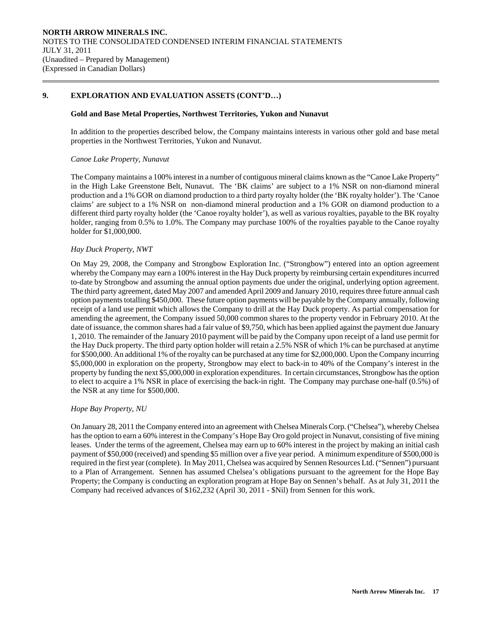## **9. EXPLORATION AND EVALUATION ASSETS (CONT'D…)**

#### **Gold and Base Metal Properties, Northwest Territories, Yukon and Nunavut**

In addition to the properties described below, the Company maintains interests in various other gold and base metal properties in the Northwest Territories, Yukon and Nunavut.

#### *Canoe Lake Property, Nunavut*

 $\overline{a}$ 

The Company maintains a 100% interest in a number of contiguous mineral claims known as the "Canoe Lake Property" in the High Lake Greenstone Belt, Nunavut. The 'BK claims' are subject to a 1% NSR on non-diamond mineral production and a 1% GOR on diamond production to a third party royalty holder (the 'BK royalty holder'). The 'Canoe claims' are subject to a 1% NSR on non-diamond mineral production and a 1% GOR on diamond production to a different third party royalty holder (the 'Canoe royalty holder'), as well as various royalties, payable to the BK royalty holder, ranging from 0.5% to 1.0%. The Company may purchase 100% of the royalties payable to the Canoe royalty holder for \$1,000,000.

## *Hay Duck Property, NWT*

On May 29, 2008, the Company and Strongbow Exploration Inc. ("Strongbow") entered into an option agreement whereby the Company may earn a 100% interest in the Hay Duck property by reimbursing certain expenditures incurred to-date by Strongbow and assuming the annual option payments due under the original, underlying option agreement. The third party agreement, dated May 2007 and amended April 2009 and January 2010, requires three future annual cash option payments totalling \$450,000. These future option payments will be payable by the Company annually, following receipt of a land use permit which allows the Company to drill at the Hay Duck property. As partial compensation for amending the agreement, the Company issued 50,000 common shares to the property vendor in February 2010. At the date of issuance, the common shares had a fair value of \$9,750, which has been applied against the payment due January 1, 2010. The remainder of the January 2010 payment will be paid by the Company upon receipt of a land use permit for the Hay Duck property. The third party option holder will retain a 2.5% NSR of which 1% can be purchased at anytime for \$500,000. An additional 1% of the royalty can be purchased at any time for \$2,000,000. Upon the Company incurring \$5,000,000 in exploration on the property, Strongbow may elect to back-in to 40% of the Company's interest in the property by funding the next \$5,000,000 in exploration expenditures. In certain circumstances, Strongbow has the option to elect to acquire a 1% NSR in place of exercising the back-in right. The Company may purchase one-half (0.5%) of the NSR at any time for \$500,000.

## *Hope Bay Property, NU*

On January 28, 2011 the Company entered into an agreement with Chelsea Minerals Corp. ("Chelsea"), whereby Chelsea has the option to earn a 60% interest in the Company's Hope Bay Oro gold project in Nunavut, consisting of five mining leases. Under the terms of the agreement, Chelsea may earn up to 60% interest in the project by making an initial cash payment of \$50,000 (received) and spending \$5 million over a five year period. A minimum expenditure of \$500,000 is required in the first year (complete). In May 2011, Chelsea was acquired by Sennen Resources Ltd. ("Sennen") pursuant to a Plan of Arrangement. Sennen has assumed Chelsea's obligations pursuant to the agreement for the Hope Bay Property; the Company is conducting an exploration program at Hope Bay on Sennen's behalf. As at July 31, 2011 the Company had received advances of \$162,232 (April 30, 2011 - \$Nil) from Sennen for this work.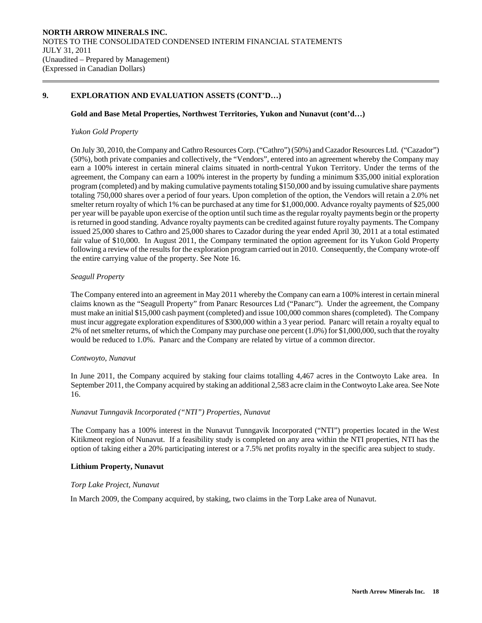## **9. EXPLORATION AND EVALUATION ASSETS (CONT'D…)**

## **Gold and Base Metal Properties, Northwest Territories, Yukon and Nunavut (cont'd…)**

## *Yukon Gold Property*

 $\overline{a}$ 

On July 30, 2010, the Company and Cathro Resources Corp. ("Cathro") (50%) and Cazador Resources Ltd. ("Cazador") (50%), both private companies and collectively, the "Vendors", entered into an agreement whereby the Company may earn a 100% interest in certain mineral claims situated in north-central Yukon Territory. Under the terms of the agreement, the Company can earn a 100% interest in the property by funding a minimum \$35,000 initial exploration program (completed) and by making cumulative payments totaling \$150,000 and by issuing cumulative share payments totaling 750,000 shares over a period of four years. Upon completion of the option, the Vendors will retain a 2.0% net smelter return royalty of which 1% can be purchased at any time for \$1,000,000. Advance royalty payments of \$25,000 per year will be payable upon exercise of the option until such time as the regular royalty payments begin or the property is returned in good standing. Advance royalty payments can be credited against future royalty payments. The Company issued 25,000 shares to Cathro and 25,000 shares to Cazador during the year ended April 30, 2011 at a total estimated fair value of \$10,000. In August 2011, the Company terminated the option agreement for its Yukon Gold Property following a review of the results for the exploration program carried out in 2010. Consequently, the Company wrote-off the entire carrying value of the property. See Note 16.

## *Seagull Property*

The Company entered into an agreement in May 2011 whereby the Company can earn a 100% interest in certain mineral claims known as the "Seagull Property" from Panarc Resources Ltd ("Panarc"). Under the agreement, the Company must make an initial \$15,000 cash payment (completed) and issue 100,000 common shares (completed). The Company must incur aggregate exploration expenditures of \$300,000 within a 3 year period. Panarc will retain a royalty equal to 2% of net smelter returns, of which the Company may purchase one percent (1.0%) for \$1,000,000, such that the royalty would be reduced to 1.0%. Panarc and the Company are related by virtue of a common director.

## *Contwoyto, Nunavut*

In June 2011, the Company acquired by staking four claims totalling 4,467 acres in the Contwoyto Lake area. In September 2011, the Company acquired by staking an additional 2,583 acre claim in the Contwoyto Lake area. See Note 16.

## *Nunavut Tunngavik Incorporated ("NTI") Properties, Nunavut*

The Company has a 100% interest in the Nunavut Tunngavik Incorporated ("NTI") properties located in the West Kitikmeot region of Nunavut. If a feasibility study is completed on any area within the NTI properties, NTI has the option of taking either a 20% participating interest or a 7.5% net profits royalty in the specific area subject to study.

## **Lithium Property, Nunavut**

## *Torp Lake Project, Nunavut*

In March 2009, the Company acquired, by staking, two claims in the Torp Lake area of Nunavut.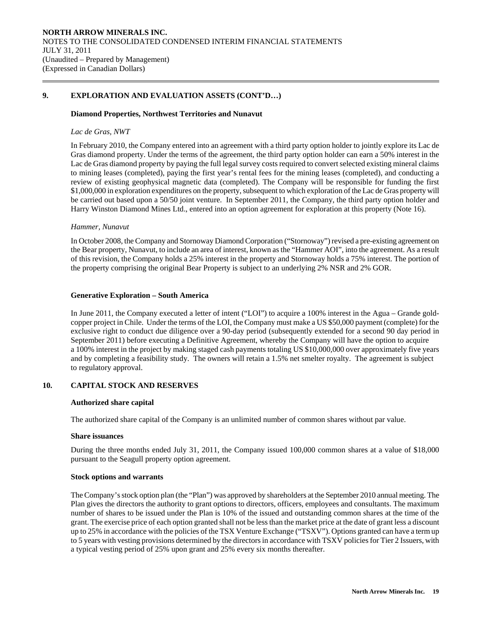## **9. EXPLORATION AND EVALUATION ASSETS (CONT'D…)**

#### **Diamond Properties, Northwest Territories and Nunavut**

## *Lac de Gras, NWT*

 $\overline{a}$ 

In February 2010, the Company entered into an agreement with a third party option holder to jointly explore its Lac de Gras diamond property. Under the terms of the agreement, the third party option holder can earn a 50% interest in the Lac de Gras diamond property by paying the full legal survey costs required to convert selected existing mineral claims to mining leases (completed), paying the first year's rental fees for the mining leases (completed), and conducting a review of existing geophysical magnetic data (completed). The Company will be responsible for funding the first \$1,000,000 in exploration expenditures on the property, subsequent to which exploration of the Lac de Gras property will be carried out based upon a 50/50 joint venture. In September 2011, the Company, the third party option holder and Harry Winston Diamond Mines Ltd., entered into an option agreement for exploration at this property (Note 16).

## *Hammer, Nunavut*

In October 2008, the Company and Stornoway Diamond Corporation ("Stornoway") revised a pre-existing agreement on the Bear property, Nunavut, to include an area of interest, known as the "Hammer AOI", into the agreement. As a result of this revision, the Company holds a 25% interest in the property and Stornoway holds a 75% interest. The portion of the property comprising the original Bear Property is subject to an underlying 2% NSR and 2% GOR.

#### **Generative Exploration – South America**

In June 2011, the Company executed a letter of intent ("LOI") to acquire a 100% interest in the Agua – Grande goldcopper project in Chile. Under the terms of the LOI, the Company must make a US \$50,000 payment (complete) for the exclusive right to conduct due diligence over a 90-day period (subsequently extended for a second 90 day period in September 2011) before executing a Definitive Agreement, whereby the Company will have the option to acquire a 100% interest in the project by making staged cash payments totaling US \$10,000,000 over approximately five years and by completing a feasibility study. The owners will retain a 1.5% net smelter royalty. The agreement is subject to regulatory approval.

## **10. CAPITAL STOCK AND RESERVES**

## **Authorized share capital**

The authorized share capital of the Company is an unlimited number of common shares without par value.

#### **Share issuances**

During the three months ended July 31, 2011, the Company issued 100,000 common shares at a value of \$18,000 pursuant to the Seagull property option agreement.

## **Stock options and warrants**

The Company's stock option plan (the "Plan") was approved by shareholders at the September 2010 annual meeting. The Plan gives the directors the authority to grant options to directors, officers, employees and consultants. The maximum number of shares to be issued under the Plan is 10% of the issued and outstanding common shares at the time of the grant. The exercise price of each option granted shall not be less than the market price at the date of grant less a discount up to 25% in accordance with the policies of the TSX Venture Exchange ("TSXV"). Options granted can have a term up to 5 years with vesting provisions determined by the directors in accordance with TSXV policies for Tier 2 Issuers, with a typical vesting period of 25% upon grant and 25% every six months thereafter.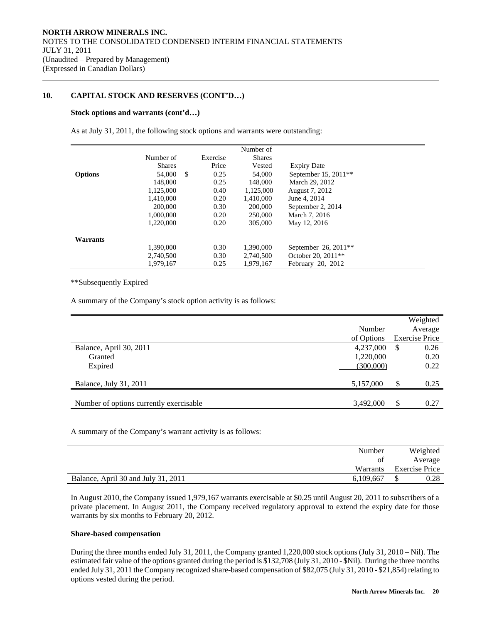## **10. CAPITAL STOCK AND RESERVES (CONT'D…)**

## **Stock options and warrants (cont'd…)**

 $\overline{a}$ 

As at July 31, 2011, the following stock options and warrants were outstanding:

|                 |               |               |          | Number of     |                                  |  |
|-----------------|---------------|---------------|----------|---------------|----------------------------------|--|
|                 | Number of     |               | Exercise | <b>Shares</b> |                                  |  |
|                 | <b>Shares</b> |               | Price    | Vested        | <b>Expiry Date</b>               |  |
| <b>Options</b>  | 54,000        | <sup>\$</sup> | 0.25     | 54,000        | September 15, 2011 <sup>**</sup> |  |
|                 | 148,000       |               | 0.25     | 148,000       | March 29, 2012                   |  |
|                 | 1.125,000     |               | 0.40     | 1.125,000     | August 7, 2012                   |  |
|                 | 1,410,000     |               | 0.20     | 1,410,000     | June 4, 2014                     |  |
|                 | 200,000       |               | 0.30     | 200,000       | September 2, 2014                |  |
|                 | 1,000,000     |               | 0.20     | 250,000       | March 7, 2016                    |  |
|                 | 1,220,000     |               | 0.20     | 305,000       | May 12, 2016                     |  |
|                 |               |               |          |               |                                  |  |
| <b>Warrants</b> |               |               |          |               |                                  |  |
|                 | 1.390.000     |               | 0.30     | 1.390.000     | September 26, $2011**$           |  |
|                 | 2,740,500     |               | 0.30     | 2,740,500     | October 20, 2011 <sup>**</sup>   |  |
|                 | 1.979.167     |               | 0.25     | 1.979.167     | February 20, 2012                |  |

\*\*Subsequently Expired

A summary of the Company's stock option activity is as follows:

|                                         |            |    | Weighted              |
|-----------------------------------------|------------|----|-----------------------|
|                                         | Number     |    | Average               |
|                                         | of Options |    | <b>Exercise Price</b> |
| Balance, April 30, 2011                 | 4,237,000  | S  | 0.26                  |
| Granted                                 | 1,220,000  |    | 0.20                  |
| Expired                                 | (300,000)  |    | 0.22                  |
|                                         |            |    |                       |
| Balance, July 31, 2011                  | 5,157,000  | \$ | 0.25                  |
|                                         |            |    |                       |
| Number of options currently exercisable | 3,492,000  | \$ | 0.27                  |

A summary of the Company's warrant activity is as follows:

|                                     | Number    | Weighted              |
|-------------------------------------|-----------|-----------------------|
|                                     | ΟÌ        | Average               |
|                                     | Warrants  | <b>Exercise Price</b> |
| Balance, April 30 and July 31, 2011 | 6,109,667 | 0.28                  |

 In August 2010, the Company issued 1,979,167 warrants exercisable at \$0.25 until August 20, 2011 to subscribers of a private placement. In August 2011, the Company received regulatory approval to extend the expiry date for those warrants by six months to February 20, 2012.

## **Share-based compensation**

 During the three months ended July 31, 2011, the Company granted 1,220,000 stock options (July 31, 2010 – Nil). The estimated fair value of the options granted during the period is \$132,708 (July 31, 2010 - \$Nil). During the three months ended July 31, 2011 the Company recognized share-based compensation of \$82,075 (July 31, 2010 - \$21,854) relating to options vested during the period.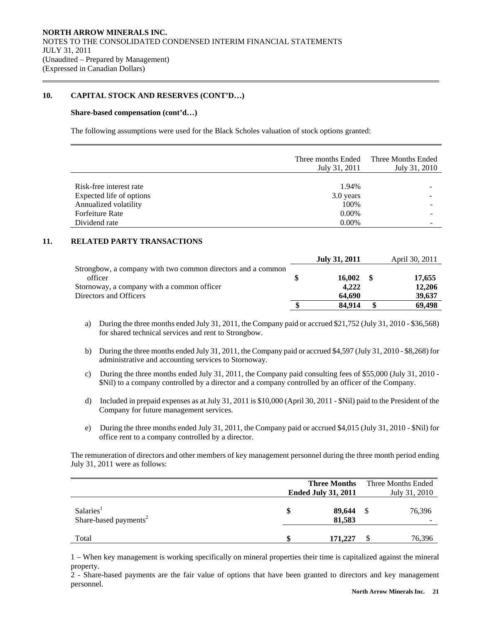## **10. CAPITAL STOCK AND RESERVES (CONT'D…)**

#### **Share-based compensation (cont'd…)**

 $\overline{a}$ 

The following assumptions were used for the Black Scholes valuation of stock options granted:

|                          | Three months Ended<br>July 31, 2011 | Three Months Ended<br>July 31, 2010 |
|--------------------------|-------------------------------------|-------------------------------------|
|                          |                                     |                                     |
| Risk-free interest rate  | 1.94%                               |                                     |
| Expected life of options | 3.0 years                           |                                     |
| Annualized volatility    | 100%                                |                                     |
| <b>Forfeiture Rate</b>   | $0.00\%$                            |                                     |
| Dividend rate            | 0.00%                               |                                     |

## **11. RELATED PARTY TRANSACTIONS**

|                                                             | <b>July 31, 2011</b> | April 30, 2011 |
|-------------------------------------------------------------|----------------------|----------------|
| Strongbow, a company with two common directors and a common |                      |                |
| officer                                                     | 16.002               | 17,655         |
| Stornoway, a company with a common officer                  | 4.222                | 12,206         |
| Directors and Officers                                      | 64.690               | 39,637         |
|                                                             | 84.914               | 69.498         |

- a) During the three months ended July 31, 2011, the Company paid or accrued \$21,752 (July 31, 2010 \$36,568) for shared technical services and rent to Strongbow.
- b) During the three months ended July 31, 2011, the Company paid or accrued \$4,597 (July 31, 2010 \$8,268) for administrative and accounting services to Stornoway.
- c) During the three months ended July 31, 2011, the Company paid consulting fees of \$55,000 (July 31, 2010 \$Nil) to a company controlled by a director and a company controlled by an officer of the Company.
- d) Included in prepaid expenses as at July 31, 2011 is \$10,000 (April 30, 2011 \$Nil) paid to the President of the Company for future management services.
- e) During the three months ended July 31, 2011, the Company paid or accrued \$4,015 (July 31, 2010 \$Nil) for office rent to a company controlled by a director.

 The remuneration of directors and other members of key management personnel during the three month period ending July 31, 2011 were as follows:

|                                                            | <b>Three Months</b><br><b>Ended July 31, 2011</b> |   | Three Months Ended<br>July 31, 2010 |
|------------------------------------------------------------|---------------------------------------------------|---|-------------------------------------|
| Salaries <sup>1</sup><br>Share-based payments <sup>2</sup> | \$<br>89,644<br>81.583                            | S | 76,396                              |
| Total                                                      | 171,227                                           |   | 76,396                              |

1 – When key management is working specifically on mineral properties their time is capitalized against the mineral property.

2 - Share-based payments are the fair value of options that have been granted to directors and key management personnel.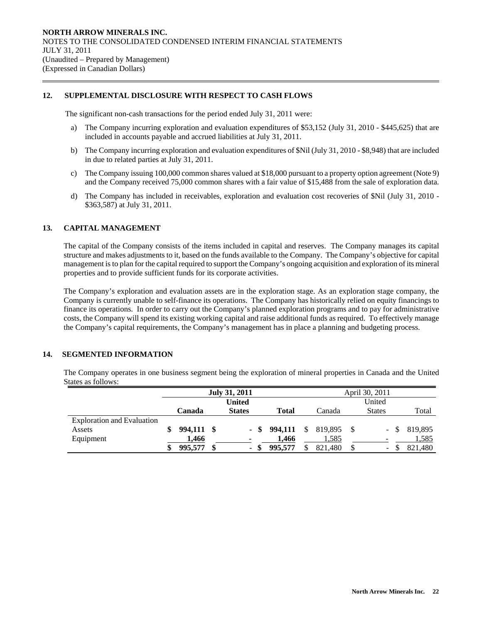## **12. SUPPLEMENTAL DISCLOSURE WITH RESPECT TO CASH FLOWS**

The significant non-cash transactions for the period ended July 31, 2011 were:

- a) The Company incurring exploration and evaluation expenditures of \$53,152 (July 31, 2010 \$445,625) that are included in accounts payable and accrued liabilities at July 31, 2011.
- b) The Company incurring exploration and evaluation expenditures of \$Nil (July 31, 2010 \$8,948) that are included in due to related parties at July 31, 2011.
- c) The Company issuing 100,000 common shares valued at \$18,000 pursuant to a property option agreement (Note 9) and the Company received 75,000 common shares with a fair value of \$15,488 from the sale of exploration data.
- d) The Company has included in receivables, exploration and evaluation cost recoveries of \$Nil (July 31, 2010 \$363,587) at July 31, 2011.

## **13. CAPITAL MANAGEMENT**

 $\overline{a}$ 

 The capital of the Company consists of the items included in capital and reserves. The Company manages its capital structure and makes adjustments to it, based on the funds available to the Company. The Company's objective for capital management is to plan for the capital required to support the Company's ongoing acquisition and exploration of its mineral properties and to provide sufficient funds for its corporate activities.

 The Company's exploration and evaluation assets are in the exploration stage. As an exploration stage company, the Company is currently unable to self-finance its operations. The Company has historically relied on equity financings to finance its operations. In order to carry out the Company's planned exploration programs and to pay for administrative costs, the Company will spend its existing working capital and raise additional funds as required. To effectively manage the Company's capital requirements, the Company's management has in place a planning and budgeting process.

## **14. SEGMENTED INFORMATION**

The Company operates in one business segment being the exploration of mineral properties in Canada and the United States as follows:

|                                   | April 30, 2011<br><b>July 31, 2011</b> |               |  |               |         |    |                           |      |               |                |  |  |
|-----------------------------------|----------------------------------------|---------------|--|---------------|---------|----|---------------------------|------|---------------|----------------|--|--|
|                                   |                                        | <b>United</b> |  |               |         |    | United                    |      |               |                |  |  |
|                                   |                                        | Canada        |  | <b>States</b> | Total   |    | Canada                    |      | <b>States</b> | Total          |  |  |
| <b>Exploration and Evaluation</b> |                                        |               |  |               |         |    |                           |      |               |                |  |  |
| Assets                            | \$                                     | 994,111 \$    |  |               |         |    | $-$ \$ 994,111 \$ 819,895 | - \$ |               | $-$ \$ 819,895 |  |  |
| Equipment                         |                                        | 1,466         |  |               | 1.466   |    | 1,585                     |      |               | 1,585          |  |  |
|                                   | \$                                     | 995,577       |  | $\sim$        | 995,577 | \$ | 821,480                   |      |               | 821,480        |  |  |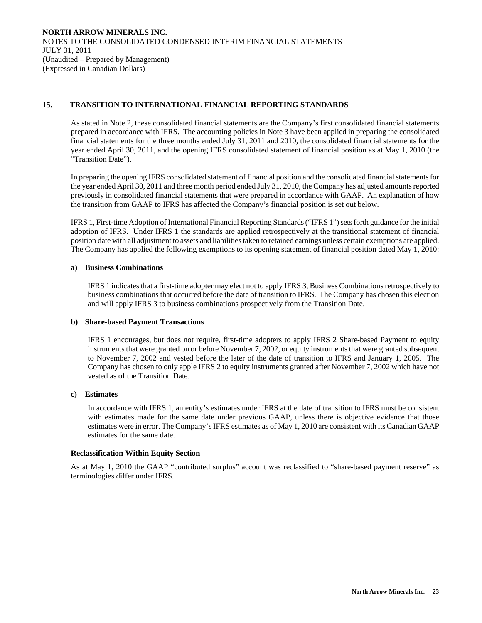## **15. TRANSITION TO INTERNATIONAL FINANCIAL REPORTING STANDARDS**

As stated in Note 2, these consolidated financial statements are the Company's first consolidated financial statements prepared in accordance with IFRS. The accounting policies in Note 3 have been applied in preparing the consolidated financial statements for the three months ended July 31, 2011 and 2010, the consolidated financial statements for the year ended April 30, 2011, and the opening IFRS consolidated statement of financial position as at May 1, 2010 (the "Transition Date").

In preparing the opening IFRS consolidated statement of financial position and the consolidated financial statements for the year ended April 30, 2011 and three month period ended July 31, 2010, the Company has adjusted amounts reported previously in consolidated financial statements that were prepared in accordance with GAAP. An explanation of how the transition from GAAP to IFRS has affected the Company's financial position is set out below.

IFRS 1, First-time Adoption of International Financial Reporting Standards ("IFRS 1") sets forth guidance for the initial adoption of IFRS. Under IFRS 1 the standards are applied retrospectively at the transitional statement of financial position date with all adjustment to assets and liabilities taken to retained earnings unless certain exemptions are applied. The Company has applied the following exemptions to its opening statement of financial position dated May 1, 2010:

## **a) Business Combinations**

 $\overline{a}$ 

IFRS 1 indicates that a first-time adopter may elect not to apply IFRS 3, Business Combinations retrospectively to business combinations that occurred before the date of transition to IFRS. The Company has chosen this election and will apply IFRS 3 to business combinations prospectively from the Transition Date.

## **b) Share-based Payment Transactions**

IFRS 1 encourages, but does not require, first-time adopters to apply IFRS 2 Share-based Payment to equity instruments that were granted on or before November 7, 2002, or equity instruments that were granted subsequent to November 7, 2002 and vested before the later of the date of transition to IFRS and January 1, 2005. The Company has chosen to only apple IFRS 2 to equity instruments granted after November 7, 2002 which have not vested as of the Transition Date.

## **c) Estimates**

In accordance with IFRS 1, an entity's estimates under IFRS at the date of transition to IFRS must be consistent with estimates made for the same date under previous GAAP, unless there is objective evidence that those estimates were in error. The Company's IFRS estimates as of May 1, 2010 are consistent with its Canadian GAAP estimates for the same date.

## **Reclassification Within Equity Section**

As at May 1, 2010 the GAAP "contributed surplus" account was reclassified to "share-based payment reserve" as terminologies differ under IFRS.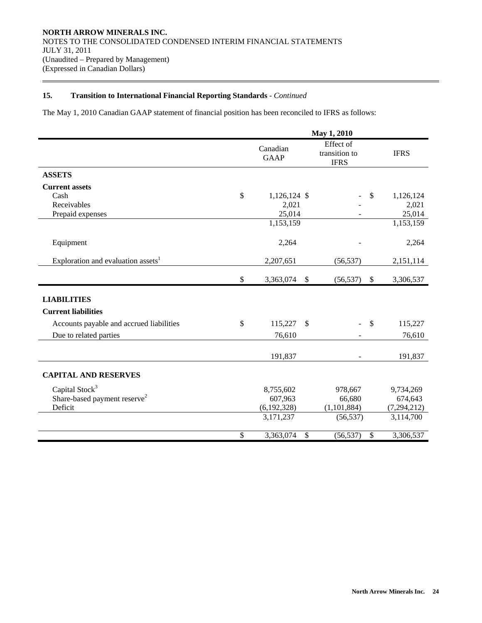$\overline{a}$ 

The May 1, 2010 Canadian GAAP statement of financial position has been reconciled to IFRS as follows:

|                                                | May 1, 2010             |                                           |              |               |  |  |
|------------------------------------------------|-------------------------|-------------------------------------------|--------------|---------------|--|--|
|                                                | Canadian<br><b>GAAP</b> | Effect of<br>transition to<br><b>IFRS</b> |              | <b>IFRS</b>   |  |  |
| <b>ASSETS</b>                                  |                         |                                           |              |               |  |  |
| <b>Current assets</b>                          |                         |                                           |              |               |  |  |
| Cash                                           | \$<br>1,126,124 \$      |                                           | $\mathbb{S}$ | 1,126,124     |  |  |
| Receivables                                    | 2,021                   |                                           |              | 2,021         |  |  |
| Prepaid expenses                               | 25,014                  |                                           |              | 25,014        |  |  |
|                                                | 1,153,159               |                                           |              | 1,153,159     |  |  |
| Equipment                                      | 2,264                   |                                           |              | 2,264         |  |  |
| Exploration and evaluation assets <sup>1</sup> | 2,207,651               | (56, 537)                                 |              | 2,151,114     |  |  |
|                                                | \$<br>3,363,074         | $\boldsymbol{\mathsf{S}}$<br>(56, 537)    | \$           | 3,306,537     |  |  |
| <b>LIABILITIES</b>                             |                         |                                           |              |               |  |  |
| <b>Current liabilities</b>                     |                         |                                           |              |               |  |  |
| Accounts payable and accrued liabilities       | \$<br>115,227           | \$                                        | $\mathbb{S}$ | 115,227       |  |  |
| Due to related parties                         | 76,610                  |                                           |              | 76,610        |  |  |
|                                                | 191,837                 |                                           |              | 191,837       |  |  |
| <b>CAPITAL AND RESERVES</b>                    |                         |                                           |              |               |  |  |
| Capital Stock <sup>3</sup>                     | 8,755,602               | 978,667                                   |              | 9,734,269     |  |  |
| Share-based payment reserve <sup>2</sup>       | 607,963                 | 66,680                                    |              | 674,643       |  |  |
| Deficit                                        | (6,192,328)             | (1, 101, 884)                             |              | (7, 294, 212) |  |  |
|                                                | 3,171,237               | (56, 537)                                 |              | 3,114,700     |  |  |
|                                                | \$<br>3,363,074         | \$<br>(56, 537)                           | \$           | 3,306,537     |  |  |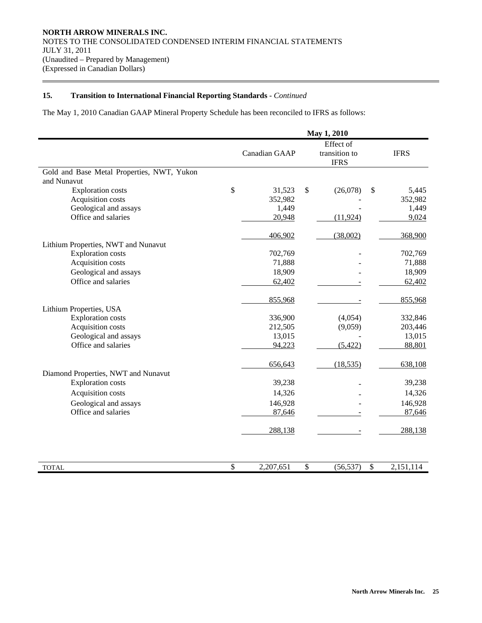$\overline{a}$ 

The May 1, 2010 Canadian GAAP Mineral Property Schedule has been reconciled to IFRS as follows:

|                                                                 | May 1, 2010      |    |                                           |                           |                  |
|-----------------------------------------------------------------|------------------|----|-------------------------------------------|---------------------------|------------------|
|                                                                 | Canadian GAAP    |    | Effect of<br>transition to<br><b>IFRS</b> |                           | <b>IFRS</b>      |
| Gold and Base Metal Properties, NWT, Yukon                      |                  |    |                                           |                           |                  |
| and Nunavut<br><b>Exploration</b> costs                         | \$<br>31,523     | \$ | (26,078)                                  | \$                        | 5,445            |
| Acquisition costs                                               | 352,982          |    |                                           |                           | 352,982          |
| Geological and assays                                           | 1,449            |    |                                           |                           | 1,449            |
| Office and salaries                                             | 20,948           |    | (11, 924)                                 |                           | 9,024            |
|                                                                 | 406,902          |    | (38,002)                                  |                           | 368,900          |
| Lithium Properties, NWT and Nunavut                             |                  |    |                                           |                           |                  |
| <b>Exploration costs</b>                                        | 702,769          |    |                                           |                           | 702,769          |
| Acquisition costs                                               | 71,888           |    |                                           |                           | 71,888           |
| Geological and assays                                           | 18,909           |    |                                           |                           | 18,909           |
| Office and salaries                                             | 62,402           |    |                                           |                           | 62,402           |
|                                                                 | 855,968          |    |                                           |                           | 855,968          |
| Lithium Properties, USA                                         |                  |    |                                           |                           |                  |
| <b>Exploration costs</b>                                        | 336,900          |    | (4,054)                                   |                           | 332,846          |
| Acquisition costs                                               | 212,505          |    | (9,059)                                   |                           | 203,446          |
| Geological and assays<br>Office and salaries                    | 13,015<br>94,223 |    | (5, 422)                                  |                           | 13,015<br>88,801 |
|                                                                 |                  |    |                                           |                           |                  |
|                                                                 | 656,643          |    | (18, 535)                                 |                           | 638,108          |
| Diamond Properties, NWT and Nunavut<br><b>Exploration costs</b> | 39,238           |    |                                           |                           | 39,238           |
| Acquisition costs                                               | 14,326           |    |                                           |                           | 14,326           |
| Geological and assays                                           | 146,928          |    |                                           |                           | 146,928          |
| Office and salaries                                             | 87,646           |    |                                           |                           | 87,646           |
|                                                                 | 288,138          |    |                                           |                           | 288,138          |
| <b>TOTAL</b>                                                    | \$<br>2,207,651  | \$ | (56, 537)                                 | $\boldsymbol{\mathsf{S}}$ | 2,151,114        |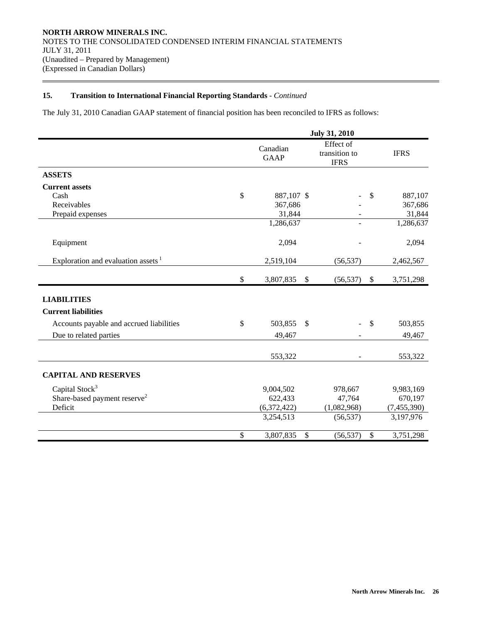$\overline{a}$ 

The July 31, 2010 Canadian GAAP statement of financial position has been reconciled to IFRS as follows:

|                                                |                         |                           | <b>July 31, 2010</b>                      |              |               |
|------------------------------------------------|-------------------------|---------------------------|-------------------------------------------|--------------|---------------|
|                                                | Canadian<br><b>GAAP</b> |                           | Effect of<br>transition to<br><b>IFRS</b> |              | <b>IFRS</b>   |
| <b>ASSETS</b>                                  |                         |                           |                                           |              |               |
| <b>Current assets</b>                          |                         |                           |                                           |              |               |
| Cash                                           | \$<br>887,107 \$        |                           |                                           | \$           | 887,107       |
| Receivables                                    | 367,686                 |                           |                                           |              | 367,686       |
| Prepaid expenses                               | 31,844                  |                           |                                           |              | 31,844        |
|                                                | 1,286,637               |                           |                                           |              | 1,286,637     |
| Equipment                                      | 2,094                   |                           |                                           |              | 2,094         |
| Exploration and evaluation assets <sup>1</sup> | 2,519,104               |                           | (56, 537)                                 |              | 2,462,567     |
|                                                | \$<br>3,807,835         | $\boldsymbol{\mathsf{S}}$ | (56, 537)                                 | $\$\,$       | 3,751,298     |
| <b>LIABILITIES</b>                             |                         |                           |                                           |              |               |
| <b>Current liabilities</b>                     |                         |                           |                                           |              |               |
| Accounts payable and accrued liabilities       | \$<br>503,855           | $\mathbb{S}$              |                                           | $\mathbb{S}$ | 503,855       |
| Due to related parties                         | 49,467                  |                           |                                           |              | 49,467        |
|                                                | 553,322                 |                           |                                           |              | 553,322       |
| <b>CAPITAL AND RESERVES</b>                    |                         |                           |                                           |              |               |
| Capital Stock <sup>3</sup>                     | 9,004,502               |                           | 978,667                                   |              | 9,983,169     |
| Share-based payment reserve <sup>2</sup>       | 622,433                 |                           | 47,764                                    |              | 670,197       |
| Deficit                                        | (6,372,422)             |                           | (1,082,968)                               |              | (7, 455, 390) |
|                                                | 3,254,513               |                           | (56, 537)                                 |              | 3,197,976     |
|                                                | \$<br>3,807,835         | \$                        | (56, 537)                                 | \$           | 3,751,298     |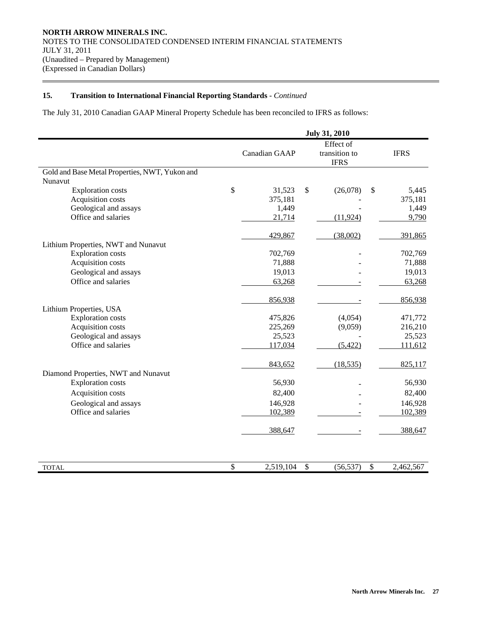$\overline{a}$ 

The July 31, 2010 Canadian GAAP Mineral Property Schedule has been reconciled to IFRS as follows:

|                                                | <b>July 31, 2010</b> |                           |                                           |                           |                    |
|------------------------------------------------|----------------------|---------------------------|-------------------------------------------|---------------------------|--------------------|
|                                                | Canadian GAAP        |                           | Effect of<br>transition to<br><b>IFRS</b> |                           | <b>IFRS</b>        |
| Gold and Base Metal Properties, NWT, Yukon and |                      |                           |                                           |                           |                    |
| Nunavut                                        | \$<br>31,523         | \$                        | (26,078)                                  | \$                        | 5,445              |
| <b>Exploration costs</b><br>Acquisition costs  | 375,181              |                           |                                           |                           | 375,181            |
| Geological and assays                          | 1,449                |                           |                                           |                           | 1,449              |
| Office and salaries                            | 21,714               |                           | (11, 924)                                 |                           | 9,790              |
|                                                | 429,867              |                           | (38,002)                                  |                           | 391,865            |
| Lithium Properties, NWT and Nunavut            |                      |                           |                                           |                           |                    |
| <b>Exploration costs</b>                       | 702,769              |                           |                                           |                           | 702,769            |
| Acquisition costs                              | 71,888               |                           |                                           |                           | 71,888             |
| Geological and assays                          | 19,013               |                           |                                           |                           | 19,013             |
| Office and salaries                            | 63,268               |                           |                                           |                           | 63,268             |
|                                                | 856,938              |                           |                                           |                           | 856,938            |
| Lithium Properties, USA                        |                      |                           |                                           |                           |                    |
| <b>Exploration costs</b><br>Acquisition costs  | 475,826<br>225,269   |                           | (4,054)<br>(9,059)                        |                           | 471,772<br>216,210 |
| Geological and assays                          | 25,523               |                           |                                           |                           | 25,523             |
| Office and salaries                            | 117,034              |                           | (5, 422)                                  |                           | 111,612            |
|                                                | 843,652              |                           | (18, 535)                                 |                           | 825,117            |
| Diamond Properties, NWT and Nunavut            |                      |                           |                                           |                           |                    |
| <b>Exploration costs</b>                       | 56,930               |                           |                                           |                           | 56,930             |
| Acquisition costs                              | 82,400               |                           |                                           |                           | 82,400             |
| Geological and assays                          | 146,928              |                           |                                           |                           | 146,928            |
| Office and salaries                            | 102,389              |                           |                                           |                           | 102,389            |
|                                                | 388,647              |                           |                                           |                           | 388,647            |
| <b>TOTAL</b>                                   | \$<br>2,519,104      | $\boldsymbol{\mathsf{S}}$ | (56, 537)                                 | $\boldsymbol{\mathsf{S}}$ | 2,462,567          |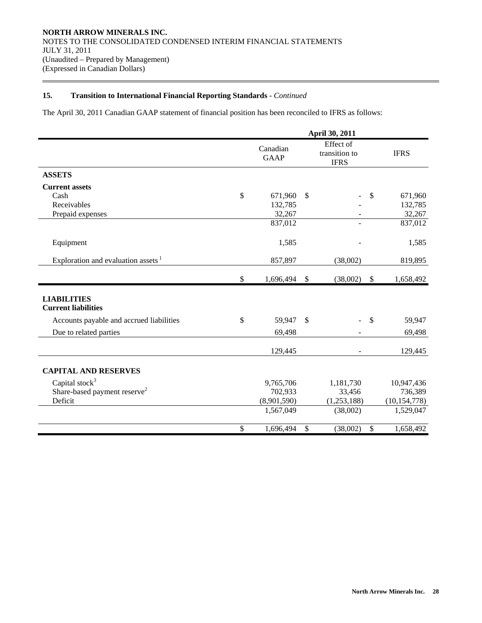$\overline{a}$ 

The April 30, 2011 Canadian GAAP statement of financial position has been reconciled to IFRS as follows:

|                                                  |              | April 30, 2011          |                           |                                           |               |                |  |  |
|--------------------------------------------------|--------------|-------------------------|---------------------------|-------------------------------------------|---------------|----------------|--|--|
|                                                  |              | Canadian<br><b>GAAP</b> |                           | Effect of<br>transition to<br><b>IFRS</b> |               | <b>IFRS</b>    |  |  |
| <b>ASSETS</b>                                    |              |                         |                           |                                           |               |                |  |  |
| <b>Current assets</b>                            |              |                         |                           |                                           |               |                |  |  |
| Cash                                             | \$           | 671,960                 | $\mathcal{S}$             |                                           | \$            | 671,960        |  |  |
| Receivables                                      |              | 132,785                 |                           |                                           |               | 132,785        |  |  |
| Prepaid expenses                                 |              | 32,267                  |                           |                                           |               | 32,267         |  |  |
|                                                  |              | 837,012                 |                           |                                           |               | 837,012        |  |  |
| Equipment                                        |              | 1,585                   |                           |                                           |               | 1,585          |  |  |
| Exploration and evaluation assets <sup>1</sup>   |              | 857,897                 |                           | (38,002)                                  |               | 819,895        |  |  |
|                                                  | $\mathbb{S}$ | 1,696,494               | $\mathcal{S}$             | (38,002)                                  | \$            | 1,658,492      |  |  |
| <b>LIABILITIES</b><br><b>Current liabilities</b> |              |                         |                           |                                           |               |                |  |  |
| Accounts payable and accrued liabilities         | \$           | 59,947                  | <sup>\$</sup>             |                                           | $\mathcal{S}$ | 59,947         |  |  |
| Due to related parties                           |              | 69,498                  |                           |                                           |               | 69,498         |  |  |
|                                                  |              | 129,445                 |                           | ۰                                         |               | 129,445        |  |  |
| <b>CAPITAL AND RESERVES</b>                      |              |                         |                           |                                           |               |                |  |  |
| Capital stock <sup>3</sup>                       |              | 9,765,706               |                           | 1,181,730                                 |               | 10,947,436     |  |  |
| Share-based payment reserve <sup>2</sup>         |              | 702,933                 |                           | 33,456                                    |               | 736,389        |  |  |
| Deficit                                          |              | (8,901,590)             |                           | (1,253,188)                               |               | (10, 154, 778) |  |  |
|                                                  |              | 1,567,049               |                           | (38,002)                                  |               | 1,529,047      |  |  |
|                                                  | $\mathbb{S}$ | 1,696,494               | $\boldsymbol{\mathsf{S}}$ | (38,002)                                  | \$            | 1,658,492      |  |  |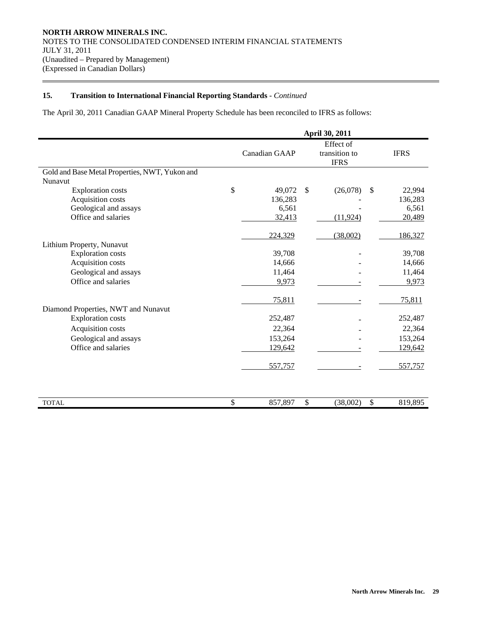$\overline{a}$ 

The April 30, 2011 Canadian GAAP Mineral Property Schedule has been reconciled to IFRS as follows:

|                                                | April 30, 2011 |               |              |                                           |             |  |
|------------------------------------------------|----------------|---------------|--------------|-------------------------------------------|-------------|--|
|                                                |                | Canadian GAAP |              | Effect of<br>transition to<br><b>IFRS</b> | <b>IFRS</b> |  |
| Gold and Base Metal Properties, NWT, Yukon and |                |               |              |                                           |             |  |
| Nunavut                                        |                |               |              |                                           |             |  |
| <b>Exploration costs</b>                       | \$             | 49,072        | \$           | \$<br>(26,078)                            | 22,994      |  |
| Acquisition costs                              |                | 136,283       |              |                                           | 136,283     |  |
| Geological and assays                          |                | 6,561         |              |                                           | 6,561       |  |
| Office and salaries                            |                | 32,413        |              | (11, 924)                                 | 20,489      |  |
|                                                |                | 224,329       |              | (38,002)                                  | 186,327     |  |
| Lithium Property, Nunavut                      |                |               |              |                                           |             |  |
| <b>Exploration costs</b>                       |                | 39,708        |              |                                           | 39,708      |  |
| Acquisition costs                              |                | 14,666        |              |                                           | 14,666      |  |
| Geological and assays                          |                | 11,464        |              |                                           | 11,464      |  |
| Office and salaries                            |                | 9,973         |              |                                           | 9,973       |  |
|                                                |                | 75,811        |              |                                           | 75,811      |  |
| Diamond Properties, NWT and Nunavut            |                |               |              |                                           |             |  |
| <b>Exploration costs</b>                       |                | 252,487       |              |                                           | 252,487     |  |
| Acquisition costs                              |                | 22,364        |              |                                           | 22,364      |  |
| Geological and assays                          |                | 153,264       |              |                                           | 153,264     |  |
| Office and salaries                            |                | 129,642       |              |                                           | 129,642     |  |
|                                                |                | 557,757       |              |                                           | 557,757     |  |
|                                                |                |               |              |                                           |             |  |
| <b>TOTAL</b>                                   | \$             | 857,897       | $\mathbb{S}$ | $\mathbb{S}$<br>(38,002)                  | 819,895     |  |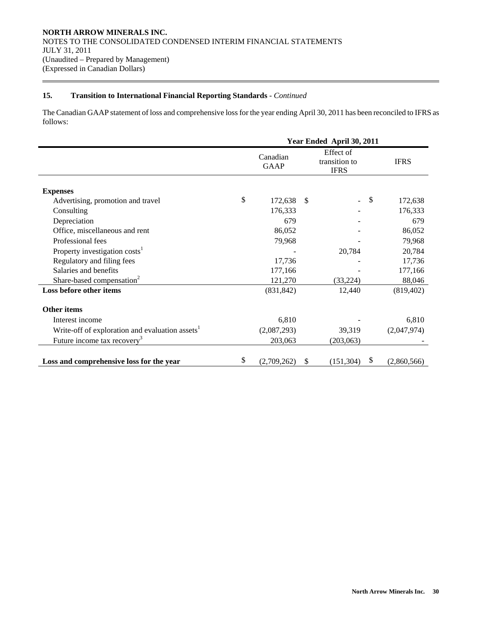$\overline{a}$ 

The Canadian GAAP statement of loss and comprehensive loss for the year ending April 30, 2011 has been reconciled to IFRS as follows:

|                                                             | Year Ended April 30, 2011 |                         |               |                                           |    |             |  |
|-------------------------------------------------------------|---------------------------|-------------------------|---------------|-------------------------------------------|----|-------------|--|
|                                                             |                           | Canadian<br><b>GAAP</b> |               | Effect of<br>transition to<br><b>IFRS</b> |    | <b>IFRS</b> |  |
| <b>Expenses</b>                                             |                           |                         |               |                                           |    |             |  |
| Advertising, promotion and travel                           | \$                        | 172,638                 | <sup>\$</sup> |                                           | \$ | 172,638     |  |
| Consulting                                                  |                           | 176,333                 |               |                                           |    | 176,333     |  |
| Depreciation                                                |                           | 679                     |               |                                           |    | 679         |  |
| Office, miscellaneous and rent                              |                           | 86,052                  |               |                                           |    | 86,052      |  |
| Professional fees                                           |                           | 79,968                  |               |                                           |    | 79,968      |  |
| Property investigation costs <sup>1</sup>                   |                           |                         |               | 20,784                                    |    | 20,784      |  |
| Regulatory and filing fees                                  |                           | 17,736                  |               |                                           |    | 17,736      |  |
| Salaries and benefits                                       |                           | 177,166                 |               |                                           |    | 177,166     |  |
| Share-based compensation <sup>2</sup>                       |                           | 121,270                 |               | (33, 224)                                 |    | 88,046      |  |
| Loss before other items                                     |                           | (831, 842)              |               | 12,440                                    |    | (819, 402)  |  |
| <b>Other items</b>                                          |                           |                         |               |                                           |    |             |  |
| Interest income                                             |                           | 6,810                   |               |                                           |    | 6,810       |  |
| Write-off of exploration and evaluation assets <sup>1</sup> |                           | (2,087,293)             |               | 39,319                                    |    | (2,047,974) |  |
| Future income tax recovery <sup>3</sup>                     |                           | 203,063                 |               | (203,063)                                 |    |             |  |
| Loss and comprehensive loss for the year                    | \$                        | (2,709,262)             | S.            | (151, 304)                                | \$ | (2,860,566) |  |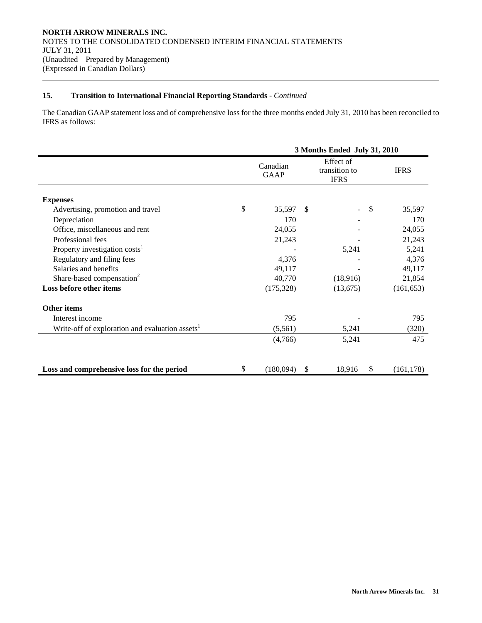$\overline{a}$ 

The Canadian GAAP statement loss and of comprehensive loss for the three months ended July 31, 2010 has been reconciled to IFRS as follows:

|                                                             | 3 Months Ended July 31, 2010 |               |                                           |                           |             |  |
|-------------------------------------------------------------|------------------------------|---------------|-------------------------------------------|---------------------------|-------------|--|
|                                                             | Canadian<br>GAAP             |               | Effect of<br>transition to<br><b>IFRS</b> |                           | <b>IFRS</b> |  |
| <b>Expenses</b>                                             |                              |               |                                           |                           |             |  |
| Advertising, promotion and travel                           | \$<br>35,597                 | $\mathcal{S}$ |                                           | $\boldsymbol{\mathsf{S}}$ | 35,597      |  |
| Depreciation                                                | 170                          |               |                                           |                           | 170         |  |
| Office, miscellaneous and rent                              | 24,055                       |               |                                           |                           | 24,055      |  |
| Professional fees                                           | 21,243                       |               |                                           |                           | 21,243      |  |
| Property investigation costs <sup>1</sup>                   |                              |               | 5,241                                     |                           | 5,241       |  |
| Regulatory and filing fees                                  | 4,376                        |               |                                           |                           | 4,376       |  |
| Salaries and benefits                                       | 49,117                       |               |                                           |                           | 49,117      |  |
| Share-based compensation <sup>2</sup>                       | 40,770                       |               | (18,916)                                  |                           | 21,854      |  |
| Loss before other items                                     | (175, 328)                   |               | (13,675)                                  |                           | (161, 653)  |  |
| <b>Other items</b>                                          |                              |               |                                           |                           |             |  |
| Interest income                                             | 795                          |               |                                           |                           | 795         |  |
| Write-off of exploration and evaluation assets <sup>1</sup> | (5,561)                      |               | 5,241                                     |                           | (320)       |  |
|                                                             | (4,766)                      |               | 5,241                                     |                           | 475         |  |
|                                                             |                              |               |                                           |                           |             |  |
| Loss and comprehensive loss for the period                  | \$<br>(180,094)              | \$            | 18,916                                    | \$                        | (161, 178)  |  |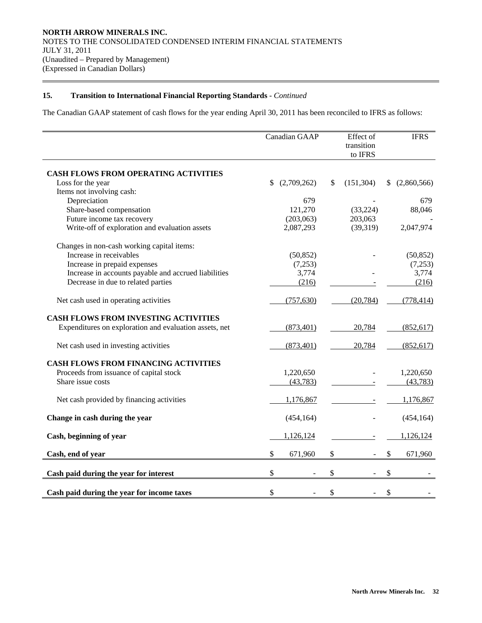$\overline{a}$ 

The Canadian GAAP statement of cash flows for the year ending April 30, 2011 has been reconciled to IFRS as follows:

|                                                        | Canadian GAAP     | Effect of<br>transition<br>to IFRS | <b>IFRS</b>   |
|--------------------------------------------------------|-------------------|------------------------------------|---------------|
| <b>CASH FLOWS FROM OPERATING ACTIVITIES</b>            |                   |                                    |               |
| Loss for the year                                      | \$<br>(2,709,262) | \$<br>(151, 304)                   | (2,860,566)   |
| Items not involving cash:                              |                   |                                    |               |
| Depreciation                                           | 679               |                                    | 679           |
| Share-based compensation                               | 121,270           | (33, 224)                          | 88,046        |
| Future income tax recovery                             | (203,063)         | 203,063                            |               |
| Write-off of exploration and evaluation assets         | 2,087,293         | (39,319)                           | 2,047,974     |
| Changes in non-cash working capital items:             |                   |                                    |               |
| Increase in receivables                                | (50, 852)         |                                    | (50, 852)     |
| Increase in prepaid expenses                           | (7,253)           |                                    | (7,253)       |
| Increase in accounts payable and accrued liabilities   | 3,774             |                                    | 3,774         |
| Decrease in due to related parties                     | (216)             |                                    | (216)         |
| Net cash used in operating activities                  | (757, 630)        | (20, 784)                          | (778, 414)    |
| <b>CASH FLOWS FROM INVESTING ACTIVITIES</b>            |                   |                                    |               |
| Expenditures on exploration and evaluation assets, net | (873, 401)        | 20,784                             | (852, 617)    |
| Net cash used in investing activities                  | (873, 401)        | 20,784                             | (852, 617)    |
| <b>CASH FLOWS FROM FINANCING ACTIVITIES</b>            |                   |                                    |               |
| Proceeds from issuance of capital stock                | 1,220,650         |                                    | 1,220,650     |
| Share issue costs                                      | (43, 783)         |                                    | (43, 783)     |
| Net cash provided by financing activities              | 1,176,867         |                                    | 1,176,867     |
| Change in cash during the year                         | (454, 164)        |                                    | (454, 164)    |
| Cash, beginning of year                                | 1,126,124         |                                    | 1,126,124     |
| Cash, end of year                                      | \$<br>671,960     | \$                                 | \$<br>671,960 |
| Cash paid during the year for interest                 | \$                | \$                                 | \$            |
| Cash paid during the year for income taxes             | \$                | \$                                 | \$            |
|                                                        |                   |                                    |               |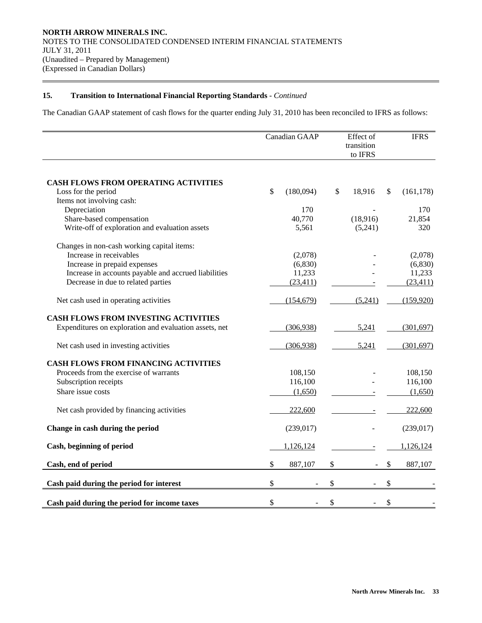$\overline{a}$ 

The Canadian GAAP statement of cash flows for the quarter ending July 31, 2010 has been reconciled to IFRS as follows:

|                                                        | Canadian GAAP   |    | Effect of<br>transition<br>to IFRS | <b>IFRS</b>      |  |
|--------------------------------------------------------|-----------------|----|------------------------------------|------------------|--|
| CASH FLOWS FROM OPERATING ACTIVITIES                   |                 |    |                                    |                  |  |
| Loss for the period                                    | \$<br>(180,094) | \$ | 18,916                             | \$<br>(161, 178) |  |
| Items not involving cash:                              |                 |    |                                    |                  |  |
| Depreciation                                           | 170             |    |                                    | 170              |  |
| Share-based compensation                               | 40,770          |    | (18,916)                           | 21,854           |  |
| Write-off of exploration and evaluation assets         | 5,561           |    | (5,241)                            | 320              |  |
| Changes in non-cash working capital items:             |                 |    |                                    |                  |  |
| Increase in receivables                                | (2,078)         |    |                                    | (2,078)          |  |
| Increase in prepaid expenses                           | (6,830)         |    |                                    | (6, 830)         |  |
| Increase in accounts payable and accrued liabilities   | 11,233          |    |                                    | 11,233           |  |
| Decrease in due to related parties                     | (23, 411)       |    |                                    | (23, 411)        |  |
| Net cash used in operating activities                  | (154, 679)      |    | (5,241)                            | (159, 920)       |  |
| <b>CASH FLOWS FROM INVESTING ACTIVITIES</b>            |                 |    |                                    |                  |  |
| Expenditures on exploration and evaluation assets, net | (306, 938)      |    | 5,241                              | (301, 697)       |  |
| Net cash used in investing activities                  | (306, 938)      |    | 5,241                              | (301, 697)       |  |
| <b>CASH FLOWS FROM FINANCING ACTIVITIES</b>            |                 |    |                                    |                  |  |
| Proceeds from the exercise of warrants                 | 108,150         |    |                                    | 108,150          |  |
| Subscription receipts                                  | 116,100         |    |                                    | 116,100          |  |
| Share issue costs                                      | (1,650)         |    |                                    | (1,650)          |  |
| Net cash provided by financing activities              | 222,600         |    |                                    | 222,600          |  |
| Change in cash during the period                       | (239, 017)      |    |                                    | (239, 017)       |  |
| Cash, beginning of period                              | 1,126,124       |    |                                    | 1,126,124        |  |
| Cash, end of period                                    | \$<br>887,107   | \$ |                                    | \$<br>887,107    |  |
| Cash paid during the period for interest               | \$              | \$ |                                    | \$               |  |
| Cash paid during the period for income taxes           | \$              | \$ |                                    | \$               |  |